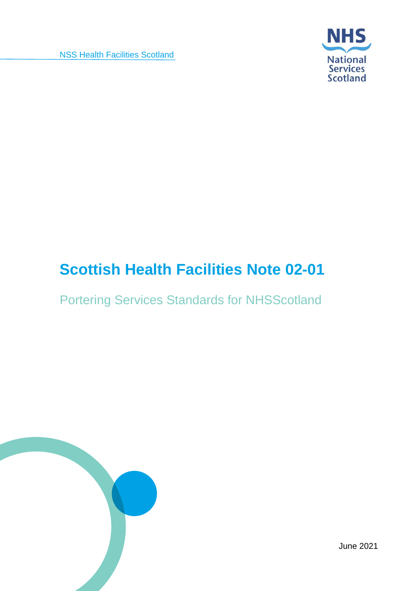NSS Health Facilities Scotland



## **Scottish Health Facilities Note 02-01**

Portering Services Standards for NHSScotland



June 2021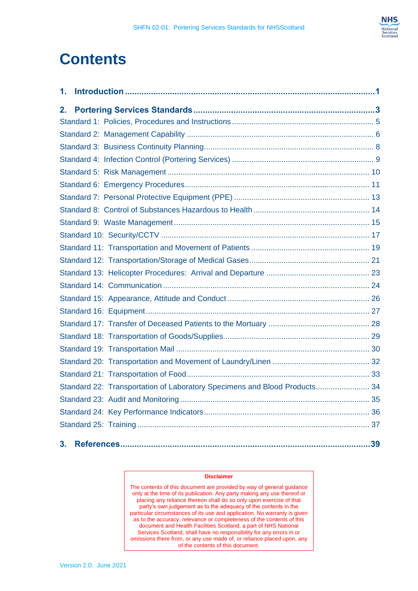

## **Contents**

| 1.                                                                        |  |
|---------------------------------------------------------------------------|--|
| 2.                                                                        |  |
|                                                                           |  |
|                                                                           |  |
|                                                                           |  |
|                                                                           |  |
|                                                                           |  |
|                                                                           |  |
|                                                                           |  |
|                                                                           |  |
|                                                                           |  |
|                                                                           |  |
|                                                                           |  |
|                                                                           |  |
|                                                                           |  |
|                                                                           |  |
|                                                                           |  |
|                                                                           |  |
|                                                                           |  |
|                                                                           |  |
|                                                                           |  |
|                                                                           |  |
|                                                                           |  |
| Standard 22: Transportation of Laboratory Specimens and Blood Products 34 |  |
|                                                                           |  |
|                                                                           |  |
|                                                                           |  |
| 3.                                                                        |  |

#### **Disclaimer**

The contents of this document are provided by way of general guidance only at the time of its publication. Any party making any use thereof or placing any reliance thereon shall do so only upon exercise of that party's own judgement as to the adequacy of the contents in the particular circumstances of its use and application. No warranty is given as to the accuracy, relevance or completeness of the contents of this document and Health Facilities Scotland, a part of NHS National Services Scotland, shall have no responsibility for any errors in or omissions there from, or any use made of, or reliance placed upon, any of the contents of this document.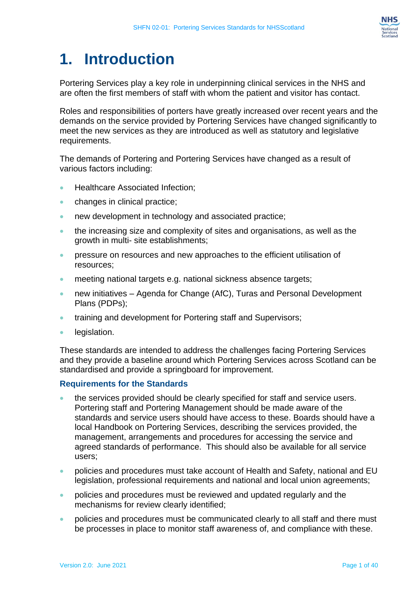

## <span id="page-2-0"></span>**1. Introduction**

Portering Services play a key role in underpinning clinical services in the NHS and are often the first members of staff with whom the patient and visitor has contact.

Roles and responsibilities of porters have greatly increased over recent years and the demands on the service provided by Portering Services have changed significantly to meet the new services as they are introduced as well as statutory and legislative requirements.

The demands of Portering and Portering Services have changed as a result of various factors including:

- Healthcare Associated Infection;
- changes in clinical practice;
- new development in technology and associated practice;
- the increasing size and complexity of sites and organisations, as well as the growth in multi- site establishments;
- **•** pressure on resources and new approaches to the efficient utilisation of resources;
- meeting national targets e.g. national sickness absence targets;
- new initiatives Agenda for Change (AfC), Turas and Personal Development Plans (PDPs);
- training and development for Portering staff and Supervisors;
- legislation.

These standards are intended to address the challenges facing Portering Services and they provide a baseline around which Portering Services across Scotland can be standardised and provide a springboard for improvement.

#### **Requirements for the Standards**

- the services provided should be clearly specified for staff and service users. Portering staff and Portering Management should be made aware of the standards and service users should have access to these. Boards should have a local Handbook on Portering Services, describing the services provided, the management, arrangements and procedures for accessing the service and agreed standards of performance. This should also be available for all service users;
- policies and procedures must take account of Health and Safety, national and EU legislation, professional requirements and national and local union agreements;
- policies and procedures must be reviewed and updated regularly and the mechanisms for review clearly identified;
- policies and procedures must be communicated clearly to all staff and there must be processes in place to monitor staff awareness of, and compliance with these.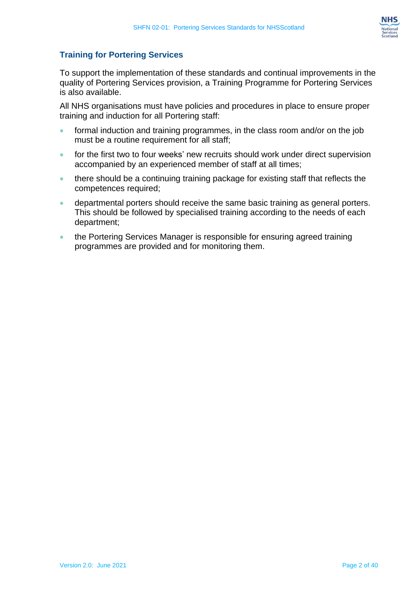

#### **Training for Portering Services**

To support the implementation of these standards and continual improvements in the quality of Portering Services provision, a Training Programme for Portering Services is also available.

All NHS organisations must have policies and procedures in place to ensure proper training and induction for all Portering staff:

- formal induction and training programmes, in the class room and/or on the job must be a routine requirement for all staff;
- for the first two to four weeks' new recruits should work under direct supervision accompanied by an experienced member of staff at all times;
- there should be a continuing training package for existing staff that reflects the competences required;
- departmental porters should receive the same basic training as general porters. This should be followed by specialised training according to the needs of each department;
- the Portering Services Manager is responsible for ensuring agreed training programmes are provided and for monitoring them.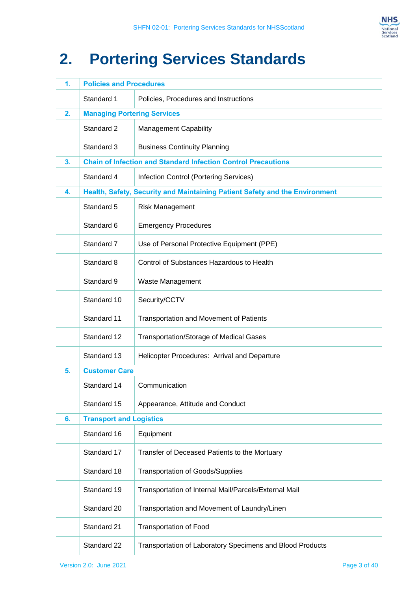

# <span id="page-4-0"></span>**2. Portering Services Standards**

| 1. | <b>Policies and Procedures</b>     |                                                                             |  |
|----|------------------------------------|-----------------------------------------------------------------------------|--|
|    | Standard 1                         | Policies, Procedures and Instructions                                       |  |
| 2. | <b>Managing Portering Services</b> |                                                                             |  |
|    | Standard 2                         | <b>Management Capability</b>                                                |  |
|    | Standard 3                         | <b>Business Continuity Planning</b>                                         |  |
| 3. |                                    | <b>Chain of Infection and Standard Infection Control Precautions</b>        |  |
|    | Standard 4                         | Infection Control (Portering Services)                                      |  |
| 4. |                                    | Health, Safety, Security and Maintaining Patient Safety and the Environment |  |
|    | Standard 5                         | <b>Risk Management</b>                                                      |  |
|    | Standard 6                         | <b>Emergency Procedures</b>                                                 |  |
|    | Standard 7                         | Use of Personal Protective Equipment (PPE)                                  |  |
|    | Standard 8                         | Control of Substances Hazardous to Health                                   |  |
|    | Standard 9                         | Waste Management                                                            |  |
|    | Standard 10                        | Security/CCTV                                                               |  |
|    | Standard 11                        | <b>Transportation and Movement of Patients</b>                              |  |
|    | Standard 12                        | Transportation/Storage of Medical Gases                                     |  |
|    | Standard 13                        | Helicopter Procedures: Arrival and Departure                                |  |
| 5. | <b>Customer Care</b>               |                                                                             |  |
|    | Standard 14                        | Communication                                                               |  |
|    | Standard 15                        | Appearance, Attitude and Conduct                                            |  |
| 6. | <b>Transport and Logistics</b>     |                                                                             |  |
|    | Standard 16                        | Equipment                                                                   |  |
|    | Standard 17                        | Transfer of Deceased Patients to the Mortuary                               |  |
|    | Standard 18                        | <b>Transportation of Goods/Supplies</b>                                     |  |
|    | Standard 19                        | Transportation of Internal Mail/Parcels/External Mail                       |  |
|    | Standard 20                        | Transportation and Movement of Laundry/Linen                                |  |
|    | Standard 21                        | <b>Transportation of Food</b>                                               |  |
|    | Standard 22                        | Transportation of Laboratory Specimens and Blood Products                   |  |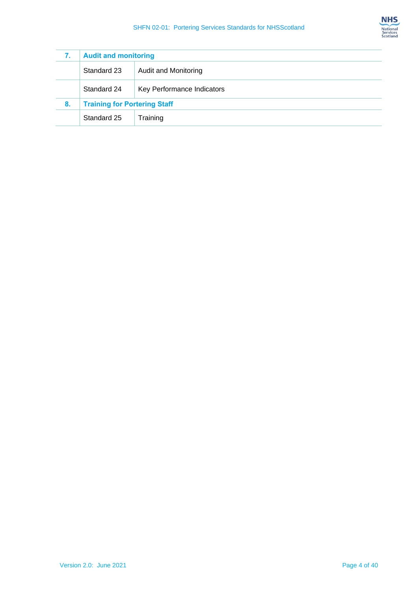| 7. | <b>Audit and monitoring</b>                |  |
|----|--------------------------------------------|--|
|    | <b>Audit and Monitoring</b><br>Standard 23 |  |
|    | Standard 24<br>Key Performance Indicators  |  |
| 8. | <b>Training for Portering Staff</b>        |  |
|    | Standard 25<br>Training                    |  |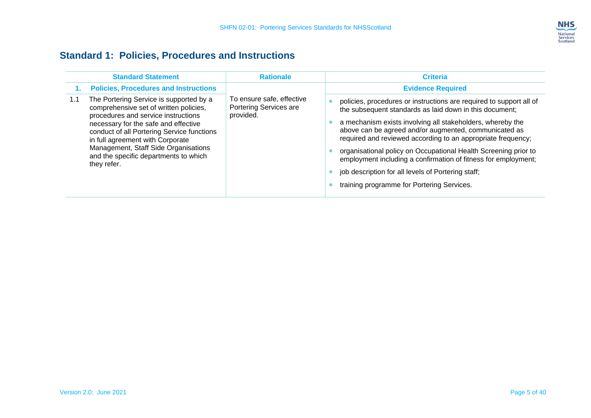

### **Standard 1: Policies, Procedures and Instructions**

<span id="page-6-0"></span>

|     | <b>Standard Statement</b>                                                                                                                                                                                                                                                                                                                          | <b>Rationale</b>                                                 | <b>Criteria</b>                                                                                                                                                                                                                                                                                                                                                                                                                                                                                                                                                |
|-----|----------------------------------------------------------------------------------------------------------------------------------------------------------------------------------------------------------------------------------------------------------------------------------------------------------------------------------------------------|------------------------------------------------------------------|----------------------------------------------------------------------------------------------------------------------------------------------------------------------------------------------------------------------------------------------------------------------------------------------------------------------------------------------------------------------------------------------------------------------------------------------------------------------------------------------------------------------------------------------------------------|
|     | <b>Policies, Procedures and Instructions</b>                                                                                                                                                                                                                                                                                                       |                                                                  | <b>Evidence Required</b>                                                                                                                                                                                                                                                                                                                                                                                                                                                                                                                                       |
| 1.1 | The Portering Service is supported by a<br>comprehensive set of written policies,<br>procedures and service instructions<br>necessary for the safe and effective<br>conduct of all Portering Service functions<br>in full agreement with Corporate<br>Management, Staff Side Organisations<br>and the specific departments to which<br>they refer. | To ensure safe, effective<br>Portering Services are<br>provided. | policies, procedures or instructions are required to support all of<br>the subsequent standards as laid down in this document;<br>a mechanism exists involving all stakeholders, whereby the<br>above can be agreed and/or augmented, communicated as<br>required and reviewed according to an appropriate frequency;<br>organisational policy on Occupational Health Screening prior to<br>employment including a confirmation of fitness for employment;<br>job description for all levels of Portering staff;<br>training programme for Portering Services. |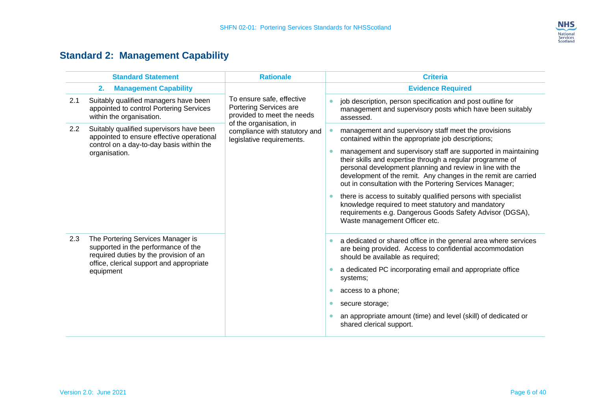

## **Standard 2: Management Capability**

<span id="page-7-0"></span>

|     | <b>Standard Statement</b>                                                                                                                                      | <b>Rationale</b>                                                                                             | <b>Criteria</b>                                                                                                                                                                                                                                                                                                       |                                                                                                                                      |
|-----|----------------------------------------------------------------------------------------------------------------------------------------------------------------|--------------------------------------------------------------------------------------------------------------|-----------------------------------------------------------------------------------------------------------------------------------------------------------------------------------------------------------------------------------------------------------------------------------------------------------------------|--------------------------------------------------------------------------------------------------------------------------------------|
|     | <b>Management Capability</b><br>2.                                                                                                                             |                                                                                                              | <b>Evidence Required</b>                                                                                                                                                                                                                                                                                              |                                                                                                                                      |
| 2.1 | Suitably qualified managers have been<br>appointed to control Portering Services<br>within the organisation.                                                   | To ensure safe, effective<br>Portering Services are<br>provided to meet the needs<br>of the organisation, in |                                                                                                                                                                                                                                                                                                                       | job description, person specification and post outline for<br>management and supervisory posts which have been suitably<br>assessed. |
| 2.2 | Suitably qualified supervisors have been<br>appointed to ensure effective operational<br>control on a day-to-day basis within the                              | compliance with statutory and<br>legislative requirements.                                                   | management and supervisory staff meet the provisions<br>contained within the appropriate job descriptions;                                                                                                                                                                                                            |                                                                                                                                      |
|     | organisation.                                                                                                                                                  |                                                                                                              | management and supervisory staff are supported in maintaining<br>their skills and expertise through a regular programme of<br>personal development planning and review in line with the<br>development of the remit. Any changes in the remit are carried<br>out in consultation with the Portering Services Manager; |                                                                                                                                      |
|     |                                                                                                                                                                |                                                                                                              | there is access to suitably qualified persons with specialist<br>knowledge required to meet statutory and mandatory<br>requirements e.g. Dangerous Goods Safety Advisor (DGSA),<br>Waste management Officer etc.                                                                                                      |                                                                                                                                      |
| 2.3 | The Portering Services Manager is<br>supported in the performance of the<br>required duties by the provision of an<br>office, clerical support and appropriate |                                                                                                              | a dedicated or shared office in the general area where services<br>$\bullet$<br>are being provided. Access to confidential accommodation<br>should be available as required;                                                                                                                                          |                                                                                                                                      |
|     | equipment                                                                                                                                                      |                                                                                                              | a dedicated PC incorporating email and appropriate office<br>$\bullet$<br>systems;                                                                                                                                                                                                                                    |                                                                                                                                      |
|     |                                                                                                                                                                |                                                                                                              | access to a phone;<br>$\bullet$                                                                                                                                                                                                                                                                                       |                                                                                                                                      |
|     |                                                                                                                                                                |                                                                                                              | secure storage;<br>$\bullet$                                                                                                                                                                                                                                                                                          |                                                                                                                                      |
|     |                                                                                                                                                                |                                                                                                              | an appropriate amount (time) and level (skill) of dedicated or<br>shared clerical support.                                                                                                                                                                                                                            |                                                                                                                                      |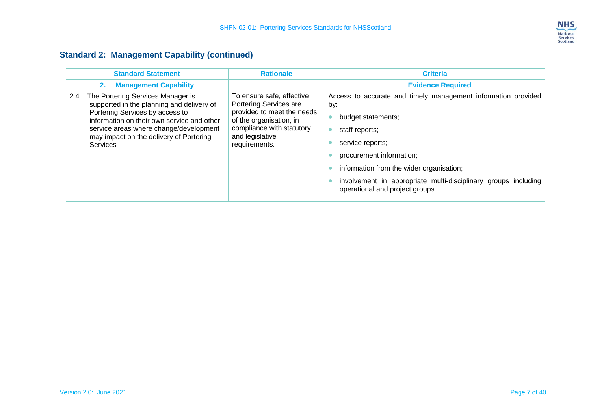

#### **Standard 2: Management Capability (continued)**

| <b>Standard Statement</b>                                                                                                                                                                                                                                                      | <b>Rationale</b>                                                                                                                                                              | <b>Criteria</b>                                                                                                                                                                                                                                                                                               |
|--------------------------------------------------------------------------------------------------------------------------------------------------------------------------------------------------------------------------------------------------------------------------------|-------------------------------------------------------------------------------------------------------------------------------------------------------------------------------|---------------------------------------------------------------------------------------------------------------------------------------------------------------------------------------------------------------------------------------------------------------------------------------------------------------|
| <b>Management Capability</b><br>2.                                                                                                                                                                                                                                             |                                                                                                                                                                               | <b>Evidence Required</b>                                                                                                                                                                                                                                                                                      |
| The Portering Services Manager is<br>2.4<br>supported in the planning and delivery of<br>Portering Services by access to<br>information on their own service and other<br>service areas where change/development<br>may impact on the delivery of Portering<br><b>Services</b> | To ensure safe, effective<br>Portering Services are<br>provided to meet the needs<br>of the organisation, in<br>compliance with statutory<br>and legislative<br>requirements. | Access to accurate and timely management information provided<br>by:<br>budget statements;<br>staff reports;<br>service reports;<br>procurement information;<br>information from the wider organisation;<br>involvement in appropriate multi-disciplinary groups including<br>operational and project groups. |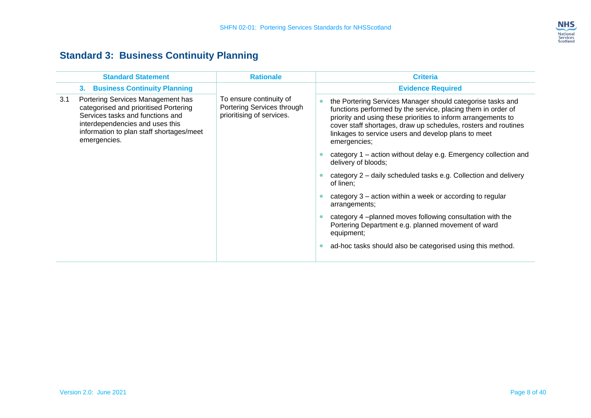

## **Standard 3: Business Continuity Planning**

<span id="page-9-0"></span>

|     | <b>Standard Statement</b>                                                                                                                                                                                     | <b>Rationale</b>                                                                   |           | <b>Criteria</b>                                                                                                                                                                                                                                                                                                                      |
|-----|---------------------------------------------------------------------------------------------------------------------------------------------------------------------------------------------------------------|------------------------------------------------------------------------------------|-----------|--------------------------------------------------------------------------------------------------------------------------------------------------------------------------------------------------------------------------------------------------------------------------------------------------------------------------------------|
|     | <b>Business Continuity Planning</b><br>3.                                                                                                                                                                     |                                                                                    |           | <b>Evidence Required</b>                                                                                                                                                                                                                                                                                                             |
| 3.1 | Portering Services Management has<br>categorised and prioritised Portering<br>Services tasks and functions and<br>interdependencies and uses this<br>information to plan staff shortages/meet<br>emergencies. | To ensure continuity of<br>Portering Services through<br>prioritising of services. | $\bullet$ | the Portering Services Manager should categorise tasks and<br>functions performed by the service, placing them in order of<br>priority and using these priorities to inform arrangements to<br>cover staff shortages, draw up schedules, rosters and routines<br>linkages to service users and develop plans to meet<br>emergencies; |
|     |                                                                                                                                                                                                               |                                                                                    |           | category 1 – action without delay e.g. Emergency collection and<br>delivery of bloods;                                                                                                                                                                                                                                               |
|     |                                                                                                                                                                                                               |                                                                                    |           | category 2 - daily scheduled tasks e.g. Collection and delivery<br>of linen;                                                                                                                                                                                                                                                         |
|     |                                                                                                                                                                                                               |                                                                                    |           | category 3 – action within a week or according to regular<br>arrangements;                                                                                                                                                                                                                                                           |
|     |                                                                                                                                                                                                               |                                                                                    |           | category 4-planned moves following consultation with the<br>Portering Department e.g. planned movement of ward<br>equipment;                                                                                                                                                                                                         |
|     |                                                                                                                                                                                                               |                                                                                    | $\bullet$ | ad-hoc tasks should also be categorised using this method.                                                                                                                                                                                                                                                                           |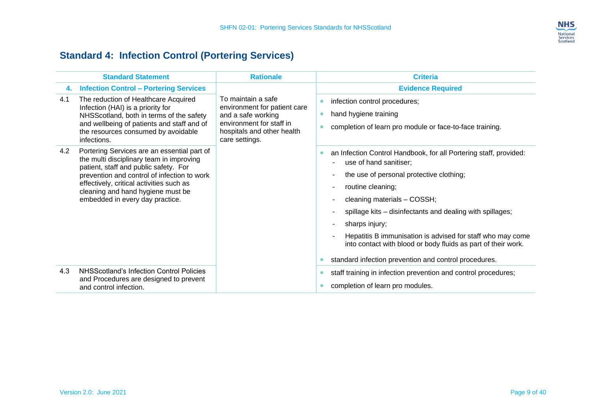

## **Standard 4: Infection Control (Portering Services)**

<span id="page-10-0"></span>

|     | <b>Standard Statement</b>                                                                                                                                                                                                                                                                           | <b>Rationale</b>                                                                                                                                     | <b>Criteria</b>                                                                                                                                                                                                                                                                                                                                                                                                                                                                                |
|-----|-----------------------------------------------------------------------------------------------------------------------------------------------------------------------------------------------------------------------------------------------------------------------------------------------------|------------------------------------------------------------------------------------------------------------------------------------------------------|------------------------------------------------------------------------------------------------------------------------------------------------------------------------------------------------------------------------------------------------------------------------------------------------------------------------------------------------------------------------------------------------------------------------------------------------------------------------------------------------|
| 4.  | <b>Infection Control - Portering Services</b>                                                                                                                                                                                                                                                       |                                                                                                                                                      | <b>Evidence Required</b>                                                                                                                                                                                                                                                                                                                                                                                                                                                                       |
| 4.1 | The reduction of Healthcare Acquired<br>Infection (HAI) is a priority for<br>NHSScotland, both in terms of the safety<br>and wellbeing of patients and staff and of<br>the resources consumed by avoidable<br>infections.                                                                           | To maintain a safe<br>environment for patient care<br>and a safe working<br>environment for staff in<br>hospitals and other health<br>care settings. | infection control procedures;<br>hand hygiene training<br>completion of learn pro module or face-to-face training.                                                                                                                                                                                                                                                                                                                                                                             |
| 4.2 | Portering Services are an essential part of<br>the multi disciplinary team in improving<br>patient, staff and public safety. For<br>prevention and control of infection to work<br>effectively, critical activities such as<br>cleaning and hand hygiene must be<br>embedded in every day practice. |                                                                                                                                                      | an Infection Control Handbook, for all Portering staff, provided:<br>۰<br>use of hand sanitiser;<br>the use of personal protective clothing;<br>$\blacksquare$<br>routine cleaning;<br>cleaning materials - COSSH;<br>spillage kits - disinfectants and dealing with spillages;<br>sharps injury;<br>Hepatitis B immunisation is advised for staff who may come<br>into contact with blood or body fluids as part of their work.<br>standard infection prevention and control procedures.<br>۰ |
| 4.3 | NHSScotland's Infection Control Policies<br>and Procedures are designed to prevent<br>and control infection.                                                                                                                                                                                        |                                                                                                                                                      | staff training in infection prevention and control procedures;<br>completion of learn pro modules.                                                                                                                                                                                                                                                                                                                                                                                             |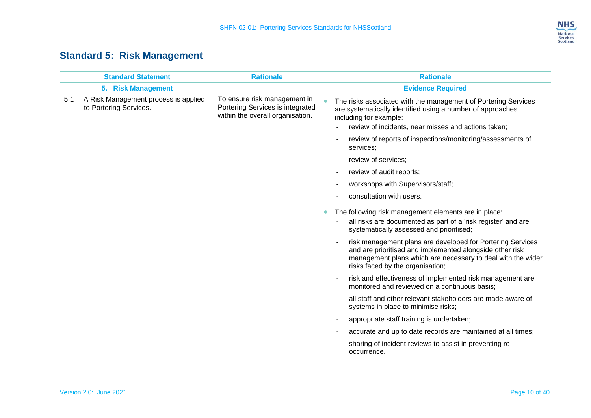

## **Standard 5: Risk Management**

<span id="page-11-0"></span>

|     | <b>Standard Statement</b>                                      | <b>Rationale</b>                                                                                     | <b>Rationale</b>                                                                                                                                                                                                          |
|-----|----------------------------------------------------------------|------------------------------------------------------------------------------------------------------|---------------------------------------------------------------------------------------------------------------------------------------------------------------------------------------------------------------------------|
|     | 5. Risk Management                                             |                                                                                                      | <b>Evidence Required</b>                                                                                                                                                                                                  |
| 5.1 | A Risk Management process is applied<br>to Portering Services. | To ensure risk management in<br>Portering Services is integrated<br>within the overall organisation. | The risks associated with the management of Portering Services<br>are systematically identified using a number of approaches<br>including for example:<br>review of incidents, near misses and actions taken;             |
|     |                                                                |                                                                                                      |                                                                                                                                                                                                                           |
|     |                                                                |                                                                                                      | review of reports of inspections/monitoring/assessments of<br>services;                                                                                                                                                   |
|     |                                                                |                                                                                                      | review of services;                                                                                                                                                                                                       |
|     |                                                                |                                                                                                      | review of audit reports;                                                                                                                                                                                                  |
|     |                                                                |                                                                                                      | workshops with Supervisors/staff;                                                                                                                                                                                         |
|     |                                                                |                                                                                                      | consultation with users.                                                                                                                                                                                                  |
|     |                                                                |                                                                                                      | The following risk management elements are in place:<br>all risks are documented as part of a 'risk register' and are<br>systematically assessed and prioritised;                                                         |
|     |                                                                |                                                                                                      | risk management plans are developed for Portering Services<br>and are prioritised and implemented alongside other risk<br>management plans which are necessary to deal with the wider<br>risks faced by the organisation; |
|     |                                                                |                                                                                                      | risk and effectiveness of implemented risk management are<br>monitored and reviewed on a continuous basis;                                                                                                                |
|     |                                                                |                                                                                                      | all staff and other relevant stakeholders are made aware of<br>systems in place to minimise risks;                                                                                                                        |
|     |                                                                |                                                                                                      | appropriate staff training is undertaken;                                                                                                                                                                                 |
|     |                                                                |                                                                                                      | accurate and up to date records are maintained at all times;                                                                                                                                                              |
|     |                                                                |                                                                                                      | sharing of incident reviews to assist in preventing re-<br>occurrence.                                                                                                                                                    |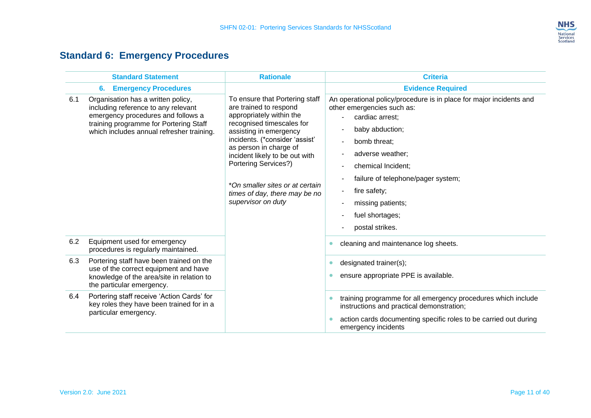

## **Standard 6: Emergency Procedures**

<span id="page-12-0"></span>

|     | <b>Standard Statement</b>                                                                                                                                                                              | <b>Rationale</b>                                                                                                                                                                                                                                                                                                                                                   | <b>Criteria</b>                                                                                                                                                                                                                                                                                                                                        |
|-----|--------------------------------------------------------------------------------------------------------------------------------------------------------------------------------------------------------|--------------------------------------------------------------------------------------------------------------------------------------------------------------------------------------------------------------------------------------------------------------------------------------------------------------------------------------------------------------------|--------------------------------------------------------------------------------------------------------------------------------------------------------------------------------------------------------------------------------------------------------------------------------------------------------------------------------------------------------|
|     | <b>Emergency Procedures</b><br>6.                                                                                                                                                                      |                                                                                                                                                                                                                                                                                                                                                                    | <b>Evidence Required</b>                                                                                                                                                                                                                                                                                                                               |
| 6.1 | Organisation has a written policy,<br>including reference to any relevant<br>emergency procedures and follows a<br>training programme for Portering Staff<br>which includes annual refresher training. | To ensure that Portering staff<br>are trained to respond<br>appropriately within the<br>recognised timescales for<br>assisting in emergency<br>incidents. (*consider 'assist'<br>as person in charge of<br>incident likely to be out with<br><b>Portering Services?)</b><br>*On smaller sites or at certain<br>times of day, there may be no<br>supervisor on duty | An operational policy/procedure is in place for major incidents and<br>other emergencies such as:<br>cardiac arrest;<br>baby abduction;<br>bomb threat;<br>$\blacksquare$<br>adverse weather;<br>chemical Incident;<br>failure of telephone/pager system;<br>fire safety;<br>$\blacksquare$<br>missing patients;<br>fuel shortages;<br>postal strikes. |
| 6.2 | Equipment used for emergency<br>procedures is regularly maintained.                                                                                                                                    |                                                                                                                                                                                                                                                                                                                                                                    | cleaning and maintenance log sheets.<br>٠                                                                                                                                                                                                                                                                                                              |
| 6.3 | Portering staff have been trained on the<br>use of the correct equipment and have<br>knowledge of the area/site in relation to<br>the particular emergency.                                            |                                                                                                                                                                                                                                                                                                                                                                    | designated trainer(s);<br>$\bullet$<br>ensure appropriate PPE is available.<br>٠                                                                                                                                                                                                                                                                       |
| 6.4 | Portering staff receive 'Action Cards' for<br>key roles they have been trained for in a<br>particular emergency.                                                                                       |                                                                                                                                                                                                                                                                                                                                                                    | training programme for all emergency procedures which include<br>instructions and practical demonstration;<br>action cards documenting specific roles to be carried out during<br>emergency incidents                                                                                                                                                  |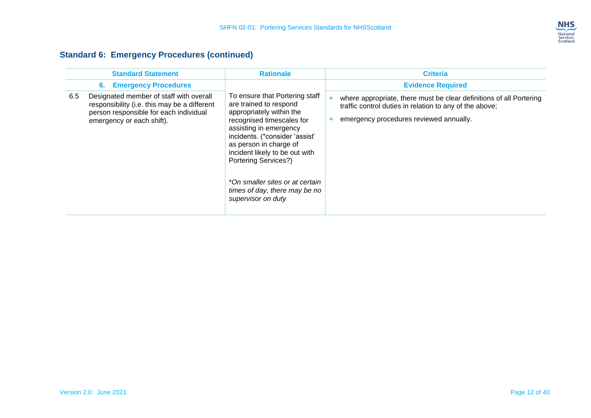

#### **Standard 6: Emergency Procedures (continued)**

|     | <b>Standard Statement</b>                                                                                                                                      | <b>Rationale</b>                                                                                                                                                                                                                                                                                                                                                   | <b>Criteria</b>                                                                                                                                                           |
|-----|----------------------------------------------------------------------------------------------------------------------------------------------------------------|--------------------------------------------------------------------------------------------------------------------------------------------------------------------------------------------------------------------------------------------------------------------------------------------------------------------------------------------------------------------|---------------------------------------------------------------------------------------------------------------------------------------------------------------------------|
|     | <b>Emergency Procedures</b><br>6.                                                                                                                              |                                                                                                                                                                                                                                                                                                                                                                    | <b>Evidence Required</b>                                                                                                                                                  |
| 6.5 | Designated member of staff with overall<br>responsibility (i.e. this may be a different<br>person responsible for each individual<br>emergency or each shift). | To ensure that Portering staff<br>are trained to respond<br>appropriately within the<br>recognised timescales for<br>assisting in emergency<br>incidents. (*consider 'assist'<br>as person in charge of<br>incident likely to be out with<br><b>Portering Services?)</b><br>*On smaller sites or at certain<br>times of day, there may be no<br>supervisor on duty | where appropriate, there must be clear definitions of all Portering<br>traffic control duties in relation to any of the above;<br>emergency procedures reviewed annually. |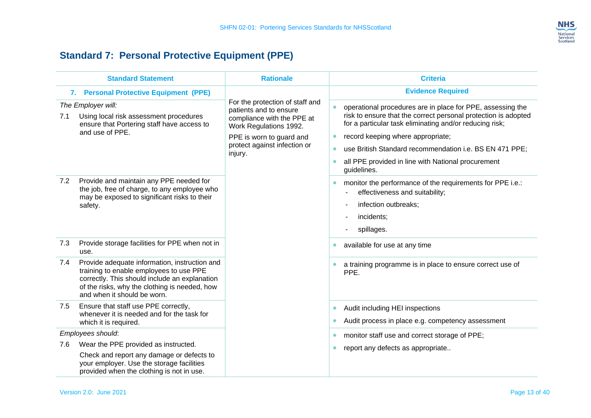

## **Standard 7: Personal Protective Equipment (PPE)**

<span id="page-14-0"></span>

|     | <b>Standard Statement</b>                                                                                                                                                                                                 | <b>Rationale</b>                                                                                                                                                                         | <b>Criteria</b>                                                                                                                                                                                                                                                                                                                                                                        |
|-----|---------------------------------------------------------------------------------------------------------------------------------------------------------------------------------------------------------------------------|------------------------------------------------------------------------------------------------------------------------------------------------------------------------------------------|----------------------------------------------------------------------------------------------------------------------------------------------------------------------------------------------------------------------------------------------------------------------------------------------------------------------------------------------------------------------------------------|
|     | 7. Personal Protective Equipment (PPE)                                                                                                                                                                                    |                                                                                                                                                                                          | <b>Evidence Required</b>                                                                                                                                                                                                                                                                                                                                                               |
| 7.1 | The Employer will:<br>Using local risk assessment procedures<br>ensure that Portering staff have access to<br>and use of PPE.                                                                                             | For the protection of staff and<br>patients and to ensure<br>compliance with the PPE at<br>Work Regulations 1992.<br>PPE is worn to guard and<br>protect against infection or<br>injury. | operational procedures are in place for PPE, assessing the<br>risk to ensure that the correct personal protection is adopted<br>for a particular task eliminating and/or reducing risk;<br>record keeping where appropriate;<br>use British Standard recommendation i.e. BS EN 471 PPE;<br>$\bullet$<br>all PPE provided in line with National procurement<br>$\bullet$<br>guidelines. |
| 7.2 | Provide and maintain any PPE needed for<br>the job, free of charge, to any employee who<br>may be exposed to significant risks to their<br>safety.                                                                        |                                                                                                                                                                                          | monitor the performance of the requirements for PPE i.e.:<br>effectiveness and suitability;<br>infection outbreaks;<br>incidents;<br>spillages.                                                                                                                                                                                                                                        |
| 7.3 | Provide storage facilities for PPE when not in<br>use.                                                                                                                                                                    |                                                                                                                                                                                          | available for use at any time<br>$\bullet$                                                                                                                                                                                                                                                                                                                                             |
| 7.4 | Provide adequate information, instruction and<br>training to enable employees to use PPE<br>correctly. This should include an explanation<br>of the risks, why the clothing is needed, how<br>and when it should be worn. |                                                                                                                                                                                          | a training programme is in place to ensure correct use of<br>PPE.                                                                                                                                                                                                                                                                                                                      |
| 7.5 | Ensure that staff use PPE correctly,<br>whenever it is needed and for the task for<br>which it is required.                                                                                                               |                                                                                                                                                                                          | Audit including HEI inspections<br>$\bullet$<br>Audit process in place e.g. competency assessment                                                                                                                                                                                                                                                                                      |
|     | Employees should:                                                                                                                                                                                                         |                                                                                                                                                                                          | monitor staff use and correct storage of PPE;<br>$\bullet$                                                                                                                                                                                                                                                                                                                             |
| 7.6 | Wear the PPE provided as instructed.                                                                                                                                                                                      |                                                                                                                                                                                          | report any defects as appropriate<br>$\bullet$                                                                                                                                                                                                                                                                                                                                         |
|     | Check and report any damage or defects to<br>your employer. Use the storage facilities<br>provided when the clothing is not in use.                                                                                       |                                                                                                                                                                                          |                                                                                                                                                                                                                                                                                                                                                                                        |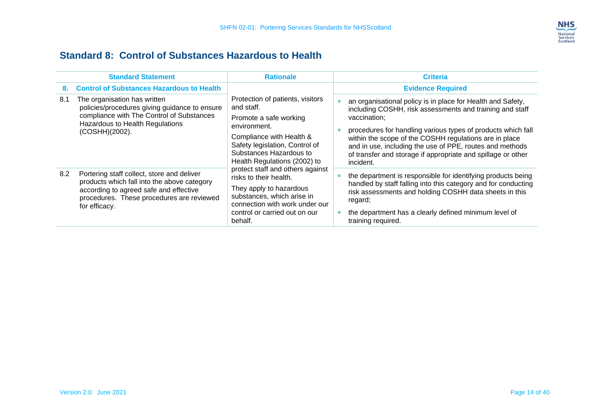

#### **Standard 8: Control of Substances Hazardous to Health**

<span id="page-15-0"></span>

|     | <b>Standard Statement</b>                                                                                                                                                                         | <b>Rationale</b>                                                                                                                                                                                                                                                                                                                                                                                                       | <b>Criteria</b>                                                                                                                                                                                                                                                                                                                                                                                            |
|-----|---------------------------------------------------------------------------------------------------------------------------------------------------------------------------------------------------|------------------------------------------------------------------------------------------------------------------------------------------------------------------------------------------------------------------------------------------------------------------------------------------------------------------------------------------------------------------------------------------------------------------------|------------------------------------------------------------------------------------------------------------------------------------------------------------------------------------------------------------------------------------------------------------------------------------------------------------------------------------------------------------------------------------------------------------|
| 8.  | <b>Control of Substances Hazardous to Health</b>                                                                                                                                                  |                                                                                                                                                                                                                                                                                                                                                                                                                        | <b>Evidence Required</b>                                                                                                                                                                                                                                                                                                                                                                                   |
| 8.1 | The organisation has written<br>policies/procedures giving guidance to ensure<br>compliance with The Control of Substances<br>Hazardous to Health Regulations<br>(COSHH)(2002).                   | Protection of patients, visitors<br>and staff.<br>Promote a safe working<br>environment.<br>Compliance with Health &<br>Safety legislation, Control of<br>Substances Hazardous to<br>Health Regulations (2002) to<br>protect staff and others against<br>risks to their health.<br>They apply to hazardous<br>substances, which arise in<br>connection with work under our<br>control or carried out on our<br>behalf. | an organisational policy is in place for Health and Safety,<br>including COSHH, risk assessments and training and staff<br>vaccination;<br>procedures for handling various types of products which fall<br>within the scope of the COSHH regulations are in place<br>and in use, including the use of PPE, routes and methods<br>of transfer and storage if appropriate and spillage or other<br>incident. |
| 8.2 | Portering staff collect, store and deliver<br>products which fall into the above category<br>according to agreed safe and effective<br>procedures. These procedures are reviewed<br>for efficacy. |                                                                                                                                                                                                                                                                                                                                                                                                                        | the department is responsible for identifying products being<br>handled by staff falling into this category and for conducting<br>risk assessments and holding COSHH data sheets in this<br>regard;<br>the department has a clearly defined minimum level of<br>training required.                                                                                                                         |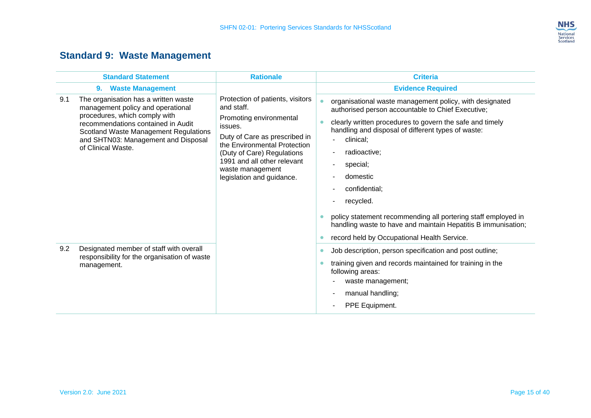

## **Standard 9: Waste Management**

<span id="page-16-0"></span>

|     | <b>Standard Statement</b>                                                                                                                                                                                                                                     | <b>Rationale</b>                                                                                                                                                                                                                                                    | <b>Criteria</b>                                                                                                                                                                                                                                                                                                                                                                                                                                                                                                           |
|-----|---------------------------------------------------------------------------------------------------------------------------------------------------------------------------------------------------------------------------------------------------------------|---------------------------------------------------------------------------------------------------------------------------------------------------------------------------------------------------------------------------------------------------------------------|---------------------------------------------------------------------------------------------------------------------------------------------------------------------------------------------------------------------------------------------------------------------------------------------------------------------------------------------------------------------------------------------------------------------------------------------------------------------------------------------------------------------------|
|     | <b>Waste Management</b><br>9.                                                                                                                                                                                                                                 |                                                                                                                                                                                                                                                                     | <b>Evidence Required</b>                                                                                                                                                                                                                                                                                                                                                                                                                                                                                                  |
| 9.1 | The organisation has a written waste<br>management policy and operational<br>procedures, which comply with<br>recommendations contained in Audit<br><b>Scotland Waste Management Regulations</b><br>and SHTN03: Management and Disposal<br>of Clinical Waste. | Protection of patients, visitors<br>and staff.<br>Promoting environmental<br>issues.<br>Duty of Care as prescribed in<br>the Environmental Protection<br>(Duty of Care) Regulations<br>1991 and all other relevant<br>waste management<br>legislation and guidance. | organisational waste management policy, with designated<br>authorised person accountable to Chief Executive;<br>clearly written procedures to govern the safe and timely<br>handling and disposal of different types of waste:<br>clinical;<br>radioactive;<br>special;<br>domestic<br>confidential;<br>۰<br>recycled.<br>۰<br>policy statement recommending all portering staff employed in<br>handling waste to have and maintain Hepatitis B immunisation;<br>record held by Occupational Health Service.<br>$\bullet$ |
| 9.2 | Designated member of staff with overall<br>responsibility for the organisation of waste<br>management.                                                                                                                                                        |                                                                                                                                                                                                                                                                     | Job description, person specification and post outline;<br>$\bullet$<br>training given and records maintained for training in the<br>following areas:<br>waste management;<br>manual handling;<br>PPE Equipment.                                                                                                                                                                                                                                                                                                          |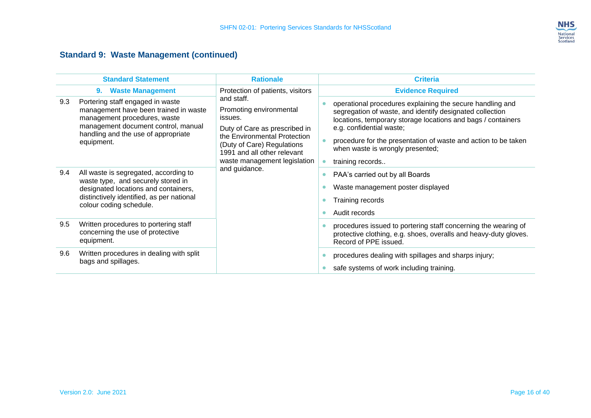

#### **Standard 9: Waste Management (continued)**

|     | <b>Standard Statement</b>                                                                                                                                                                             | <b>Rationale</b>                                                                                                                                                                                                                | <b>Criteria</b>                                                                                                                                                                                                                                                                                                                             |                                                                                                           |
|-----|-------------------------------------------------------------------------------------------------------------------------------------------------------------------------------------------------------|---------------------------------------------------------------------------------------------------------------------------------------------------------------------------------------------------------------------------------|---------------------------------------------------------------------------------------------------------------------------------------------------------------------------------------------------------------------------------------------------------------------------------------------------------------------------------------------|-----------------------------------------------------------------------------------------------------------|
|     | <b>Waste Management</b><br>9.                                                                                                                                                                         | Protection of patients, visitors                                                                                                                                                                                                | <b>Evidence Required</b>                                                                                                                                                                                                                                                                                                                    |                                                                                                           |
| 9.3 | Portering staff engaged in waste<br>management have been trained in waste<br>management procedures, waste<br>management document control, manual<br>handling and the use of appropriate<br>equipment. | and staff.<br>Promoting environmental<br>issues.<br>Duty of Care as prescribed in<br>the Environmental Protection<br>(Duty of Care) Regulations<br>1991 and all other relevant<br>waste management legislation<br>and guidance. | operational procedures explaining the secure handling and<br>segregation of waste, and identify designated collection<br>locations, temporary storage locations and bags / containers<br>e.g. confidential waste;<br>procedure for the presentation of waste and action to be taken<br>when waste is wrongly presented;<br>training records |                                                                                                           |
| 9.4 | All waste is segregated, according to<br>waste type, and securely stored in<br>designated locations and containers,<br>distinctively identified, as per national<br>colour coding schedule.           |                                                                                                                                                                                                                                 |                                                                                                                                                                                                                                                                                                                                             | PAA's carried out by all Boards<br>Waste management poster displayed<br>Training records<br>Audit records |
| 9.5 | Written procedures to portering staff<br>concerning the use of protective<br>equipment.                                                                                                               |                                                                                                                                                                                                                                 | procedures issued to portering staff concerning the wearing of<br>protective clothing, e.g. shoes, overalls and heavy-duty gloves.<br>Record of PPE issued.                                                                                                                                                                                 |                                                                                                           |
| 9.6 | Written procedures in dealing with split<br>bags and spillages.                                                                                                                                       |                                                                                                                                                                                                                                 | procedures dealing with spillages and sharps injury;<br>safe systems of work including training.                                                                                                                                                                                                                                            |                                                                                                           |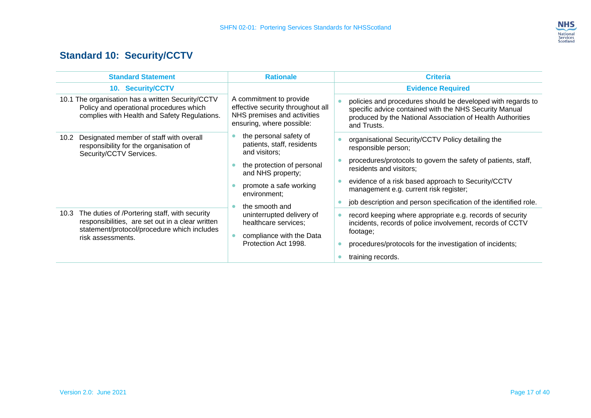

## **Standard 10: Security/CCTV**

<span id="page-18-0"></span>

| <b>Standard Statement</b>                                                                                                                                                     | <b>Rationale</b>                                                                                                         | <b>Criteria</b>                                                                                                                                                                                    |
|-------------------------------------------------------------------------------------------------------------------------------------------------------------------------------|--------------------------------------------------------------------------------------------------------------------------|----------------------------------------------------------------------------------------------------------------------------------------------------------------------------------------------------|
| 10. Security/CCTV                                                                                                                                                             |                                                                                                                          | <b>Evidence Required</b>                                                                                                                                                                           |
| 10.1 The organisation has a written Security/CCTV<br>Policy and operational procedures which<br>complies with Health and Safety Regulations.                                  | A commitment to provide<br>effective security throughout all<br>NHS premises and activities<br>ensuring, where possible: | policies and procedures should be developed with regards to<br>specific advice contained with the NHS Security Manual<br>produced by the National Association of Health Authorities<br>and Trusts. |
| Designated member of staff with overall<br>10.2<br>responsibility for the organisation of<br>Security/CCTV Services.                                                          | the personal safety of<br>patients, staff, residents<br>and visitors;                                                    | organisational Security/CCTV Policy detailing the<br>responsible person;                                                                                                                           |
|                                                                                                                                                                               | the protection of personal<br>and NHS property;                                                                          | procedures/protocols to govern the safety of patients, staff,<br>residents and visitors;                                                                                                           |
|                                                                                                                                                                               | promote a safe working<br>environment;                                                                                   | evidence of a risk based approach to Security/CCTV<br>management e.g. current risk register;                                                                                                       |
|                                                                                                                                                                               | the smooth and                                                                                                           | job description and person specification of the identified role.                                                                                                                                   |
| The duties of /Portering staff, with security<br>10.3<br>responsibilities, are set out in a clear written<br>statement/protocol/procedure which includes<br>risk assessments. | uninterrupted delivery of<br>healthcare services;<br>compliance with the Data<br>Protection Act 1998.                    | record keeping where appropriate e.g. records of security<br>incidents, records of police involvement, records of CCTV<br>footage;<br>procedures/protocols for the investigation of incidents;     |
|                                                                                                                                                                               |                                                                                                                          | training records.                                                                                                                                                                                  |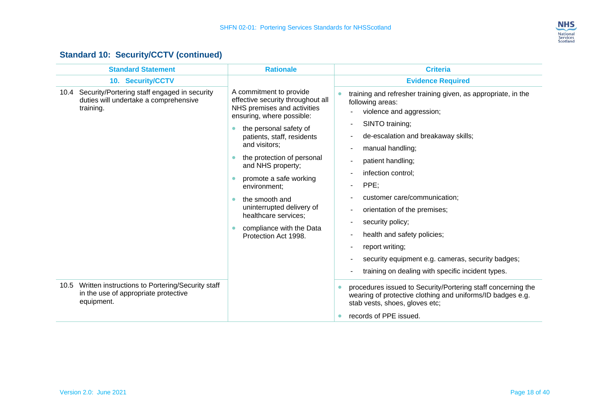

#### **Standard 10: Security/CCTV (continued)**

| 10. Security/CCTV<br>Security/Portering staff engaged in security<br>A commitment to provide<br>10.4<br>duties will undertake a comprehensive<br>effective security throughout all<br>NHS premises and activities<br>training.<br>ensuring, where possible:<br>the personal safety of<br>patients, staff, residents<br>and visitors;<br>the protection of personal<br>and NHS property;<br>promote a safe working<br>environment;<br>the smooth and<br>uninterrupted delivery of<br>healthcare services;<br>compliance with the Data<br>Protection Act 1998.<br>10.5 Written instructions to Portering/Security staff<br>in the use of appropriate protective<br>equipment. | <b>Evidence Required</b><br>training and refresher training given, as appropriate, in the<br>following areas:<br>violence and aggression;<br>SINTO training;<br>de-escalation and breakaway skills;<br>manual handling;<br>patient handling;<br>infection control;<br>PPE;<br>customer care/communication;<br>orientation of the premises;<br>security policy;<br>health and safety policies;<br>report writing;<br>security equipment e.g. cameras, security badges;<br>training on dealing with specific incident types.<br>procedures issued to Security/Portering staff concerning the<br>wearing of protective clothing and uniforms/ID badges e.g.<br>stab vests, shoes, gloves etc;<br>records of PPE issued. |
|-----------------------------------------------------------------------------------------------------------------------------------------------------------------------------------------------------------------------------------------------------------------------------------------------------------------------------------------------------------------------------------------------------------------------------------------------------------------------------------------------------------------------------------------------------------------------------------------------------------------------------------------------------------------------------|----------------------------------------------------------------------------------------------------------------------------------------------------------------------------------------------------------------------------------------------------------------------------------------------------------------------------------------------------------------------------------------------------------------------------------------------------------------------------------------------------------------------------------------------------------------------------------------------------------------------------------------------------------------------------------------------------------------------|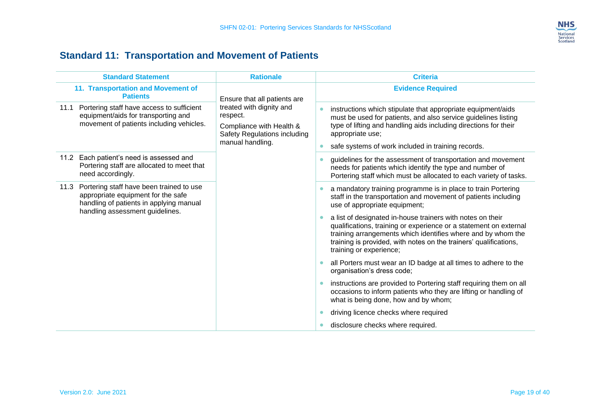

## **Standard 11: Transportation and Movement of Patients**

<span id="page-20-0"></span>

| <b>Standard Statement</b>                                                                                                            | <b>Rationale</b>                                                                                                                                     | <b>Criteria</b>                                                                                                                                                                                                                                                                                 |
|--------------------------------------------------------------------------------------------------------------------------------------|------------------------------------------------------------------------------------------------------------------------------------------------------|-------------------------------------------------------------------------------------------------------------------------------------------------------------------------------------------------------------------------------------------------------------------------------------------------|
| 11. Transportation and Movement of<br><b>Patients</b>                                                                                | Ensure that all patients are<br>treated with dignity and<br>respect.<br>Compliance with Health &<br>Safety Regulations including<br>manual handling. | <b>Evidence Required</b>                                                                                                                                                                                                                                                                        |
| Portering staff have access to sufficient<br>11.1<br>equipment/aids for transporting and<br>movement of patients including vehicles. |                                                                                                                                                      | instructions which stipulate that appropriate equipment/aids<br>must be used for patients, and also service guidelines listing<br>type of lifting and handling aids including directions for their<br>appropriate use;<br>safe systems of work included in training records.                    |
| Each patient's need is assessed and<br>11.2<br>Portering staff are allocated to meet that<br>need accordingly.                       |                                                                                                                                                      | guidelines for the assessment of transportation and movement<br>needs for patients which identify the type and number of<br>Portering staff which must be allocated to each variety of tasks.                                                                                                   |
| Portering staff have been trained to use<br>11.3<br>appropriate equipment for the safe<br>handling of patients in applying manual    |                                                                                                                                                      | a mandatory training programme is in place to train Portering<br>staff in the transportation and movement of patients including<br>use of appropriate equipment;                                                                                                                                |
| handling assessment guidelines.                                                                                                      |                                                                                                                                                      | a list of designated in-house trainers with notes on their<br>qualifications, training or experience or a statement on external<br>training arrangements which identifies where and by whom the<br>training is provided, with notes on the trainers' qualifications,<br>training or experience; |
|                                                                                                                                      |                                                                                                                                                      | all Porters must wear an ID badge at all times to adhere to the<br>organisation's dress code;                                                                                                                                                                                                   |
|                                                                                                                                      |                                                                                                                                                      | instructions are provided to Portering staff requiring them on all<br>occasions to inform patients who they are lifting or handling of<br>what is being done, how and by whom;                                                                                                                  |
|                                                                                                                                      |                                                                                                                                                      | driving licence checks where required                                                                                                                                                                                                                                                           |
|                                                                                                                                      | disclosure checks where required.                                                                                                                    |                                                                                                                                                                                                                                                                                                 |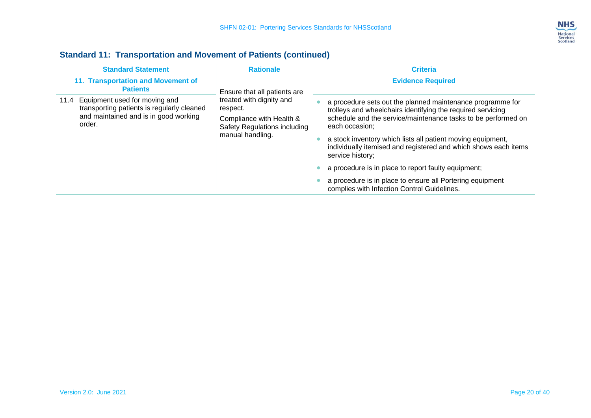

| <b>Standard Statement</b>                                                                                                           | <b>Rationale</b>                                                                                                     | <b>Criteria</b>                                                                                                                                                                                                                                                                                                                                                                                                                                                                                                                       |  |
|-------------------------------------------------------------------------------------------------------------------------------------|----------------------------------------------------------------------------------------------------------------------|---------------------------------------------------------------------------------------------------------------------------------------------------------------------------------------------------------------------------------------------------------------------------------------------------------------------------------------------------------------------------------------------------------------------------------------------------------------------------------------------------------------------------------------|--|
| 11. Transportation and Movement of<br><b>Patients</b>                                                                               | Ensure that all patients are                                                                                         | <b>Evidence Required</b>                                                                                                                                                                                                                                                                                                                                                                                                                                                                                                              |  |
| 11.4 Equipment used for moving and<br>transporting patients is regularly cleaned<br>and maintained and is in good working<br>order. | treated with dignity and<br>respect.<br>Compliance with Health &<br>Safety Regulations including<br>manual handling. | a procedure sets out the planned maintenance programme for<br>trolleys and wheelchairs identifying the required servicing<br>schedule and the service/maintenance tasks to be performed on<br>each occasion;<br>a stock inventory which lists all patient moving equipment,<br>individually itemised and registered and which shows each items<br>service history;<br>a procedure is in place to report faulty equipment;<br>a procedure is in place to ensure all Portering equipment<br>complies with Infection Control Guidelines. |  |

#### **Standard 11: Transportation and Movement of Patients (continued)**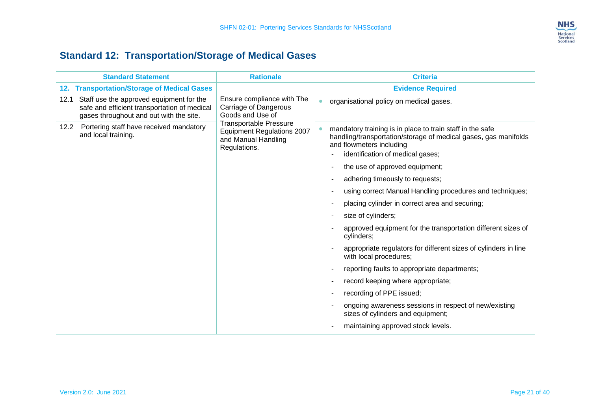

## **Standard 12: Transportation/Storage of Medical Gases**

<span id="page-22-0"></span>

| <b>Standard Statement</b>                                                                                                                   | <b>Rationale</b>                                                                                          | <b>Criteria</b>                                                                                                                                                                                                                                                                                                                                                                                                                                                                                                                                                                                                                                                                                                                                                                                                                       |
|---------------------------------------------------------------------------------------------------------------------------------------------|-----------------------------------------------------------------------------------------------------------|---------------------------------------------------------------------------------------------------------------------------------------------------------------------------------------------------------------------------------------------------------------------------------------------------------------------------------------------------------------------------------------------------------------------------------------------------------------------------------------------------------------------------------------------------------------------------------------------------------------------------------------------------------------------------------------------------------------------------------------------------------------------------------------------------------------------------------------|
| 12. Transportation/Storage of Medical Gases                                                                                                 | Ensure compliance with The<br>Carriage of Dangerous<br>Goods and Use of                                   | <b>Evidence Required</b>                                                                                                                                                                                                                                                                                                                                                                                                                                                                                                                                                                                                                                                                                                                                                                                                              |
| Staff use the approved equipment for the<br>12.1<br>safe and efficient transportation of medical<br>gases throughout and out with the site. |                                                                                                           | organisational policy on medical gases.<br>$\bullet$                                                                                                                                                                                                                                                                                                                                                                                                                                                                                                                                                                                                                                                                                                                                                                                  |
| Portering staff have received mandatory<br>12.2<br>and local training.                                                                      | <b>Transportable Pressure</b><br><b>Equipment Regulations 2007</b><br>and Manual Handling<br>Regulations. | mandatory training is in place to train staff in the safe<br>handling/transportation/storage of medical gases, gas manifolds<br>and flowmeters including<br>identification of medical gases;<br>the use of approved equipment;<br>adhering timeously to requests;<br>using correct Manual Handling procedures and techniques;<br>placing cylinder in correct area and securing;<br>size of cylinders;<br>approved equipment for the transportation different sizes of<br>cylinders;<br>appropriate regulators for different sizes of cylinders in line<br>with local procedures;<br>reporting faults to appropriate departments;<br>record keeping where appropriate;<br>recording of PPE issued;<br>ongoing awareness sessions in respect of new/existing<br>sizes of cylinders and equipment;<br>maintaining approved stock levels. |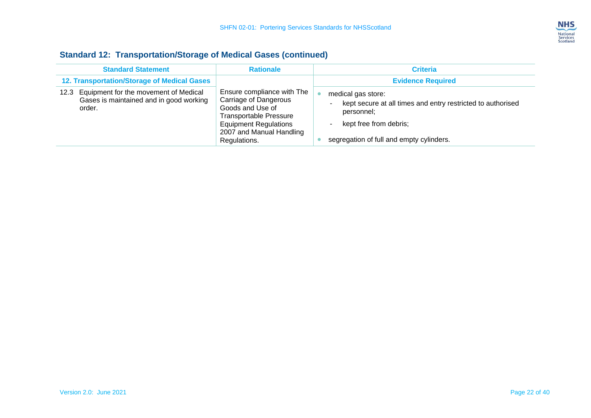

#### **Standard 12: Transportation/Storage of Medical Gases (continued)**

| <b>Standard Statement</b>                                                                          | <b>Rationale</b>                                                                                                                                                                     | <b>Criteria</b>                                                                                                                                                       |
|----------------------------------------------------------------------------------------------------|--------------------------------------------------------------------------------------------------------------------------------------------------------------------------------------|-----------------------------------------------------------------------------------------------------------------------------------------------------------------------|
| 12. Transportation/Storage of Medical Gases                                                        |                                                                                                                                                                                      | <b>Evidence Required</b>                                                                                                                                              |
| Equipment for the movement of Medical<br>12.3<br>Gases is maintained and in good working<br>order. | Ensure compliance with The<br>Carriage of Dangerous<br>Goods and Use of<br><b>Transportable Pressure</b><br><b>Equipment Regulations</b><br>2007 and Manual Handling<br>Regulations. | medical gas store:<br>kept secure at all times and entry restricted to authorised<br>personnel;<br>kept free from debris;<br>segregation of full and empty cylinders. |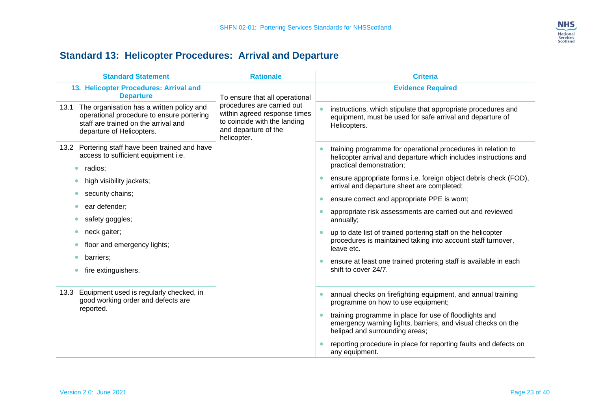

## **Standard 13: Helicopter Procedures: Arrival and Departure**

<span id="page-24-0"></span>

| <b>Standard Statement</b>                                                                                                                                        | <b>Rationale</b>                                                                                                                                                    | <b>Criteria</b>                                                                                                                                              |
|------------------------------------------------------------------------------------------------------------------------------------------------------------------|---------------------------------------------------------------------------------------------------------------------------------------------------------------------|--------------------------------------------------------------------------------------------------------------------------------------------------------------|
| 13. Helicopter Procedures: Arrival and<br><b>Departure</b>                                                                                                       | To ensure that all operational<br>procedures are carried out<br>within agreed response times<br>to coincide with the landing<br>and departure of the<br>helicopter. | <b>Evidence Required</b>                                                                                                                                     |
| 13.1 The organisation has a written policy and<br>operational procedure to ensure portering<br>staff are trained on the arrival and<br>departure of Helicopters. |                                                                                                                                                                     | instructions, which stipulate that appropriate procedures and<br>equipment, must be used for safe arrival and departure of<br>Helicopters.                   |
| 13.2 Portering staff have been trained and have<br>access to sufficient equipment i.e.<br>radios;                                                                |                                                                                                                                                                     | training programme for operational procedures in relation to<br>helicopter arrival and departure which includes instructions and<br>practical demonstration; |
| high visibility jackets;<br>$\bullet$                                                                                                                            |                                                                                                                                                                     | ensure appropriate forms i.e. foreign object debris check (FOD),<br>arrival and departure sheet are completed;                                               |
| security chains;<br>۰                                                                                                                                            |                                                                                                                                                                     | ensure correct and appropriate PPE is worn;<br>$\bullet$                                                                                                     |
| ear defender;                                                                                                                                                    |                                                                                                                                                                     | appropriate risk assessments are carried out and reviewed                                                                                                    |
| safety goggles;                                                                                                                                                  |                                                                                                                                                                     | annually;                                                                                                                                                    |
| neck gaiter;<br>$\bullet$                                                                                                                                        |                                                                                                                                                                     | up to date list of trained portering staff on the helicopter                                                                                                 |
| floor and emergency lights;                                                                                                                                      |                                                                                                                                                                     | procedures is maintained taking into account staff turnover,<br>leave etc.                                                                                   |
| barriers;                                                                                                                                                        |                                                                                                                                                                     | ensure at least one trained protering staff is available in each                                                                                             |
| fire extinguishers.                                                                                                                                              |                                                                                                                                                                     | shift to cover 24/7.                                                                                                                                         |
| Equipment used is regularly checked, in<br>13.3<br>good working order and defects are<br>reported.                                                               |                                                                                                                                                                     | annual checks on firefighting equipment, and annual training<br>$\bullet$<br>programme on how to use equipment;                                              |
|                                                                                                                                                                  |                                                                                                                                                                     | training programme in place for use of floodlights and<br>emergency warning lights, barriers, and visual checks on the<br>helipad and surrounding areas;     |
|                                                                                                                                                                  |                                                                                                                                                                     | reporting procedure in place for reporting faults and defects on<br>any equipment.                                                                           |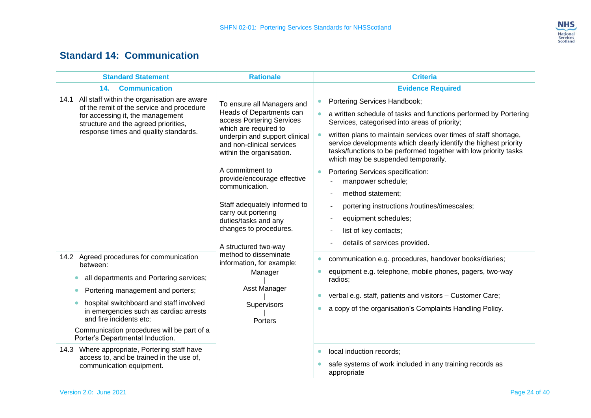### **NHS** National<br>Services<br>Scotland

### **Standard 14: Communication**

<span id="page-25-0"></span>

| <b>Standard Statement</b>                                                                                                                                                                                                                                                                                                         | <b>Rationale</b>                                                                                                                                                                                                                                                                                                                                                                                                                     | <b>Criteria</b>                                                                                                                                                                                                                                                                                                                                                                                                                                                                                                                                                                                                                                                 |                                                                                                                                                                                                                                                                     |
|-----------------------------------------------------------------------------------------------------------------------------------------------------------------------------------------------------------------------------------------------------------------------------------------------------------------------------------|--------------------------------------------------------------------------------------------------------------------------------------------------------------------------------------------------------------------------------------------------------------------------------------------------------------------------------------------------------------------------------------------------------------------------------------|-----------------------------------------------------------------------------------------------------------------------------------------------------------------------------------------------------------------------------------------------------------------------------------------------------------------------------------------------------------------------------------------------------------------------------------------------------------------------------------------------------------------------------------------------------------------------------------------------------------------------------------------------------------------|---------------------------------------------------------------------------------------------------------------------------------------------------------------------------------------------------------------------------------------------------------------------|
| <b>Communication</b><br>14.<br>14.1 All staff within the organisation are aware<br>of the remit of the service and procedure<br>for accessing it, the management<br>structure and the agreed priorities,<br>response times and quality standards.<br>14.2 Agreed procedures for communication                                     | To ensure all Managers and<br>Heads of Departments can<br>access Portering Services<br>which are required to<br>underpin and support clinical<br>and non-clinical services<br>within the organisation.<br>A commitment to<br>provide/encourage effective<br>communication.<br>Staff adequately informed to<br>carry out portering<br>duties/tasks and any<br>changes to procedures.<br>A structured two-way<br>method to disseminate | <b>Evidence Required</b><br>Portering Services Handbook;<br>a written schedule of tasks and functions performed by Portering<br>Services, categorised into areas of priority;<br>written plans to maintain services over times of staff shortage,<br>service developments which clearly identify the highest priority<br>tasks/functions to be performed together with low priority tasks<br>which may be suspended temporarily.<br>Portering Services specification:<br>$\bullet$<br>manpower schedule;<br>method statement;<br>portering instructions /routines/timescales;<br>equipment schedules;<br>list of key contacts;<br>details of services provided. |                                                                                                                                                                                                                                                                     |
| between:<br>all departments and Portering services;<br>$\bullet$<br>Portering management and porters;<br>$\bullet$<br>hospital switchboard and staff involved<br>$\bullet$<br>in emergencies such as cardiac arrests<br>and fire incidents etc;<br>Communication procedures will be part of a<br>Porter's Departmental Induction. | information, for example:<br>Manager<br>Asst Manager<br>Supervisors<br>Porters                                                                                                                                                                                                                                                                                                                                                       |                                                                                                                                                                                                                                                                                                                                                                                                                                                                                                                                                                                                                                                                 | communication e.g. procedures, handover books/diaries;<br>$\bullet$<br>equipment e.g. telephone, mobile phones, pagers, two-way<br>radios;<br>verbal e.g. staff, patients and visitors - Customer Care;<br>a copy of the organisation's Complaints Handling Policy. |
| 14.3 Where appropriate, Portering staff have<br>access to, and be trained in the use of,<br>communication equipment.                                                                                                                                                                                                              |                                                                                                                                                                                                                                                                                                                                                                                                                                      | local induction records;<br>$\bullet$<br>safe systems of work included in any training records as<br>appropriate                                                                                                                                                                                                                                                                                                                                                                                                                                                                                                                                                |                                                                                                                                                                                                                                                                     |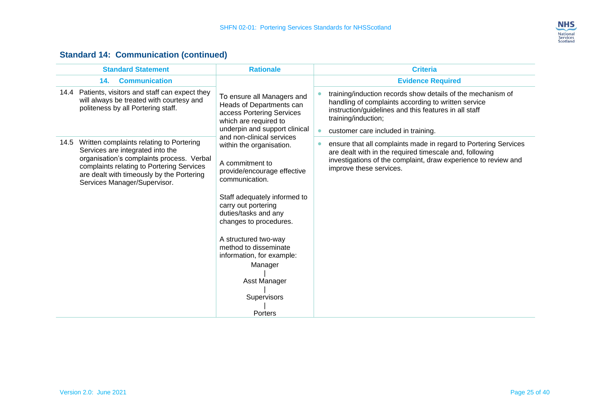

#### **Standard 14: Communication (continued)**

| <b>Standard Statement</b>                                                                                                                                                                                                                                | <b>Rationale</b>                                                                                                                                                                                                                                                                                                                                                      | <b>Criteria</b>                                                                                                                                                                                                                           |
|----------------------------------------------------------------------------------------------------------------------------------------------------------------------------------------------------------------------------------------------------------|-----------------------------------------------------------------------------------------------------------------------------------------------------------------------------------------------------------------------------------------------------------------------------------------------------------------------------------------------------------------------|-------------------------------------------------------------------------------------------------------------------------------------------------------------------------------------------------------------------------------------------|
| 14.<br><b>Communication</b>                                                                                                                                                                                                                              |                                                                                                                                                                                                                                                                                                                                                                       | <b>Evidence Required</b>                                                                                                                                                                                                                  |
| 14.4 Patients, visitors and staff can expect they<br>will always be treated with courtesy and<br>politeness by all Portering staff.                                                                                                                      | To ensure all Managers and<br>Heads of Departments can<br>access Portering Services<br>which are required to<br>underpin and support clinical                                                                                                                                                                                                                         | training/induction records show details of the mechanism of<br>handling of complaints according to written service<br>instruction/guidelines and this features in all staff<br>training/induction;<br>customer care included in training. |
| 14.5 Written complaints relating to Portering<br>Services are integrated into the<br>organisation's complaints process. Verbal<br>complaints relating to Portering Services<br>are dealt with timeously by the Portering<br>Services Manager/Supervisor. | and non-clinical services<br>within the organisation.<br>A commitment to<br>provide/encourage effective<br>communication.<br>Staff adequately informed to<br>carry out portering<br>duties/tasks and any<br>changes to procedures.<br>A structured two-way<br>method to disseminate<br>information, for example:<br>Manager<br>Asst Manager<br>Supervisors<br>Porters | ensure that all complaints made in regard to Portering Services<br>are dealt with in the required timescale and, following<br>investigations of the complaint, draw experience to review and<br>improve these services.                   |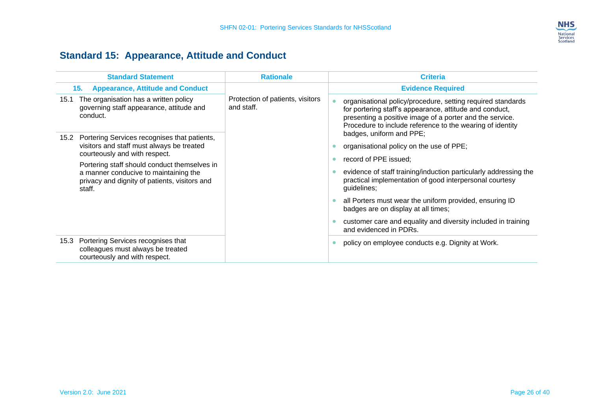

## **Standard 15: Appearance, Attitude and Conduct**

<span id="page-27-0"></span>

| <b>Standard Statement</b>                                                                                                                                                                                                                                                              | <b>Rationale</b>                               | <b>Criteria</b>                                                                                                                                                                                                                                                                                                                                                                                                                          |
|----------------------------------------------------------------------------------------------------------------------------------------------------------------------------------------------------------------------------------------------------------------------------------------|------------------------------------------------|------------------------------------------------------------------------------------------------------------------------------------------------------------------------------------------------------------------------------------------------------------------------------------------------------------------------------------------------------------------------------------------------------------------------------------------|
| <b>Appearance, Attitude and Conduct</b><br>15.                                                                                                                                                                                                                                         |                                                | <b>Evidence Required</b>                                                                                                                                                                                                                                                                                                                                                                                                                 |
| 15.1 The organisation has a written policy<br>governing staff appearance, attitude and<br>conduct.                                                                                                                                                                                     | Protection of patients, visitors<br>and staff. | organisational policy/procedure, setting required standards<br>for portering staff's appearance, attitude and conduct,<br>presenting a positive image of a porter and the service.<br>Procedure to include reference to the wearing of identity                                                                                                                                                                                          |
| Portering Services recognises that patients,<br>15.2<br>visitors and staff must always be treated<br>courteously and with respect.<br>Portering staff should conduct themselves in<br>a manner conducive to maintaining the<br>privacy and dignity of patients, visitors and<br>staff. |                                                | badges, uniform and PPE;<br>organisational policy on the use of PPE;<br>record of PPE issued;<br>evidence of staff training/induction particularly addressing the<br>practical implementation of good interpersonal courtesy<br>quidelines;<br>all Porters must wear the uniform provided, ensuring ID<br>badges are on display at all times;<br>customer care and equality and diversity included in training<br>and evidenced in PDRs. |
| 15.3 Portering Services recognises that<br>colleagues must always be treated<br>courteously and with respect.                                                                                                                                                                          |                                                | policy on employee conducts e.g. Dignity at Work.                                                                                                                                                                                                                                                                                                                                                                                        |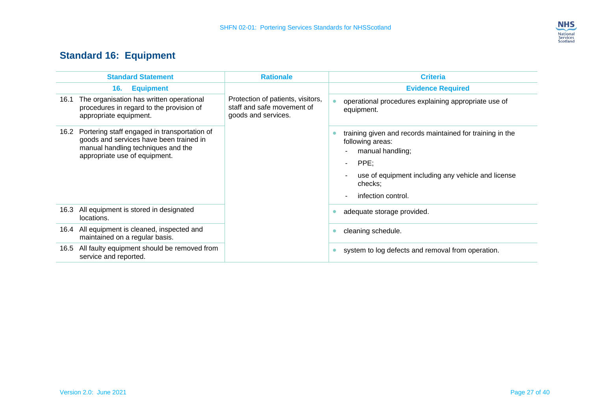

## **Standard 16: Equipment**

<span id="page-28-0"></span>

| <b>Standard Statement</b>                                                                                                                                           | <b>Rationale</b>                                                                       | <b>Criteria</b>                                                                                                                                                                                            |
|---------------------------------------------------------------------------------------------------------------------------------------------------------------------|----------------------------------------------------------------------------------------|------------------------------------------------------------------------------------------------------------------------------------------------------------------------------------------------------------|
| 16.<br><b>Equipment</b>                                                                                                                                             |                                                                                        | <b>Evidence Required</b>                                                                                                                                                                                   |
| 16.1 The organisation has written operational<br>procedures in regard to the provision of<br>appropriate equipment.                                                 | Protection of patients, visitors,<br>staff and safe movement of<br>goods and services. | operational procedures explaining appropriate use of<br>equipment.                                                                                                                                         |
| 16.2 Portering staff engaged in transportation of<br>goods and services have been trained in<br>manual handling techniques and the<br>appropriate use of equipment. |                                                                                        | training given and records maintained for training in the<br>following areas:<br>manual handling;<br>PPE;<br>$\sim$<br>use of equipment including any vehicle and license<br>checks;<br>infection control. |
| All equipment is stored in designated<br>16.3<br>locations.                                                                                                         |                                                                                        | adequate storage provided.                                                                                                                                                                                 |
| All equipment is cleaned, inspected and<br>16.4<br>maintained on a regular basis.                                                                                   |                                                                                        | cleaning schedule.                                                                                                                                                                                         |
| All faulty equipment should be removed from<br>16.5<br>service and reported.                                                                                        |                                                                                        | system to log defects and removal from operation.                                                                                                                                                          |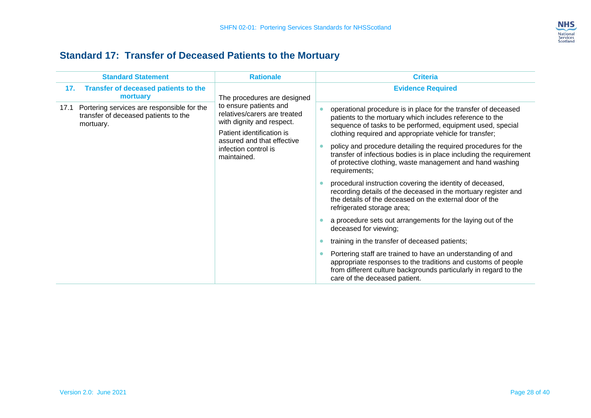

## **Standard 17: Transfer of Deceased Patients to the Mortuary**

<span id="page-29-0"></span>

| <b>Standard Statement</b>                                                                               | <b>Rationale</b>                                                                                                                                                                      | <b>Criteria</b>                                                                                                                                                                                                                                                                                                                                                                                                                                                                                                                                                                                                                                                                                                                                                                                                                                                                                                                                                                                                                                                                                             |
|---------------------------------------------------------------------------------------------------------|---------------------------------------------------------------------------------------------------------------------------------------------------------------------------------------|-------------------------------------------------------------------------------------------------------------------------------------------------------------------------------------------------------------------------------------------------------------------------------------------------------------------------------------------------------------------------------------------------------------------------------------------------------------------------------------------------------------------------------------------------------------------------------------------------------------------------------------------------------------------------------------------------------------------------------------------------------------------------------------------------------------------------------------------------------------------------------------------------------------------------------------------------------------------------------------------------------------------------------------------------------------------------------------------------------------|
| Transfer of deceased patients to the<br>17.<br>mortuary                                                 | The procedures are designed                                                                                                                                                           | <b>Evidence Required</b>                                                                                                                                                                                                                                                                                                                                                                                                                                                                                                                                                                                                                                                                                                                                                                                                                                                                                                                                                                                                                                                                                    |
| Portering services are responsible for the<br>17.1<br>transfer of deceased patients to the<br>mortuary. | to ensure patients and<br>relatives/carers are treated<br>with dignity and respect.<br>Patient identification is<br>assured and that effective<br>infection control is<br>maintained. | operational procedure is in place for the transfer of deceased<br>patients to the mortuary which includes reference to the<br>sequence of tasks to be performed, equipment used, special<br>clothing required and appropriate vehicle for transfer;<br>policy and procedure detailing the required procedures for the<br>transfer of infectious bodies is in place including the requirement<br>of protective clothing, waste management and hand washing<br>requirements;<br>procedural instruction covering the identity of deceased,<br>recording details of the deceased in the mortuary register and<br>the details of the deceased on the external door of the<br>refrigerated storage area;<br>a procedure sets out arrangements for the laying out of the<br>deceased for viewing;<br>training in the transfer of deceased patients;<br>$\bullet$<br>Portering staff are trained to have an understanding of and<br>$\bullet$<br>appropriate responses to the traditions and customs of people<br>from different culture backgrounds particularly in regard to the<br>care of the deceased patient. |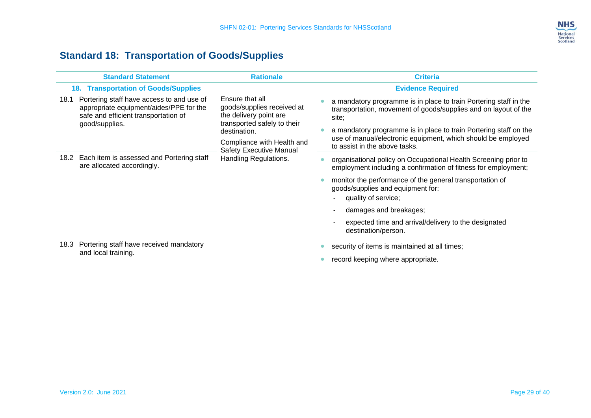

## **Standard 18: Transportation of Goods/Supplies**

<span id="page-30-0"></span>

| <b>Standard Statement</b>                                                                                                                              | <b>Rationale</b>                                                                                                                                                                                                | <b>Criteria</b>                                                                                                                                                                                                                                                                                                                                                    |
|--------------------------------------------------------------------------------------------------------------------------------------------------------|-----------------------------------------------------------------------------------------------------------------------------------------------------------------------------------------------------------------|--------------------------------------------------------------------------------------------------------------------------------------------------------------------------------------------------------------------------------------------------------------------------------------------------------------------------------------------------------------------|
| <b>18. Transportation of Goods/Supplies</b>                                                                                                            |                                                                                                                                                                                                                 | <b>Evidence Required</b>                                                                                                                                                                                                                                                                                                                                           |
| Portering staff have access to and use of<br>18.1<br>appropriate equipment/aides/PPE for the<br>safe and efficient transportation of<br>good/supplies. | Ensure that all<br>goods/supplies received at<br>the delivery point are<br>transported safely to their<br>destination.<br>Compliance with Health and<br><b>Safety Executive Manual</b><br>Handling Regulations. | a mandatory programme is in place to train Portering staff in the<br>transportation, movement of goods/supplies and on layout of the<br>site:<br>a mandatory programme is in place to train Portering staff on the<br>use of manual/electronic equipment, which should be employed<br>to assist in the above tasks.                                                |
| 18.2 Each item is assessed and Portering staff<br>are allocated accordingly.                                                                           |                                                                                                                                                                                                                 | organisational policy on Occupational Health Screening prior to<br>employment including a confirmation of fitness for employment;<br>monitor the performance of the general transportation of<br>goods/supplies and equipment for:<br>quality of service;<br>damages and breakages;<br>expected time and arrival/delivery to the designated<br>destination/person. |
| 18.3 Portering staff have received mandatory<br>and local training.                                                                                    |                                                                                                                                                                                                                 | security of items is maintained at all times;<br>record keeping where appropriate.                                                                                                                                                                                                                                                                                 |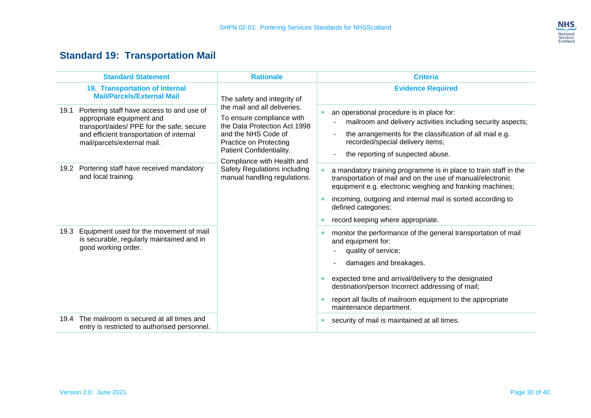### **NHS** National<br>Services<br>Scotland

## **Standard 19: Transportation Mail**

<span id="page-31-0"></span>

| <b>Standard Statement</b>                                                                                                                                                                              | <b>Rationale</b>                                                                                                                                                                                                                                                                                           | <b>Criteria</b>                                                                                                                                                                                                                                                                                                                           |
|--------------------------------------------------------------------------------------------------------------------------------------------------------------------------------------------------------|------------------------------------------------------------------------------------------------------------------------------------------------------------------------------------------------------------------------------------------------------------------------------------------------------------|-------------------------------------------------------------------------------------------------------------------------------------------------------------------------------------------------------------------------------------------------------------------------------------------------------------------------------------------|
| 19. Transportation of Internal<br><b>Mail/Parcels/External Mail</b>                                                                                                                                    | The safety and integrity of<br>the mail and all deliveries.<br>To ensure compliance with<br>the Data Protection Act 1998<br>and the NHS Code of<br><b>Practice on Protecting</b><br>Patient Confidentiality.<br>Compliance with Health and<br>Safety Regulations including<br>manual handling regulations. | <b>Evidence Required</b>                                                                                                                                                                                                                                                                                                                  |
| Portering staff have access to and use of<br>19.1<br>appropriate equipment and<br>transport/aides/ PPE for the safe, secure<br>and efficient transportation of internal<br>mail/parcels/external mail. |                                                                                                                                                                                                                                                                                                            | an operational procedure is in place for:<br>mailroom and delivery activities including security aspects;<br>the arrangements for the classification of all mail e.g.<br>recorded/special delivery items;<br>the reporting of suspected abuse.                                                                                            |
| Portering staff have received mandatory<br>19.2<br>and local training.                                                                                                                                 |                                                                                                                                                                                                                                                                                                            | a mandatory training programme is in place to train staff in the<br>transportation of mail and on the use of manual/electronic<br>equipment e.g. electronic weighing and franking machines;<br>incoming, outgoing and internal mail is sorted according to<br>defined categories;<br>record keeping where appropriate.                    |
| Equipment used for the movement of mail<br>19.3<br>is securable, regularly maintained and in<br>good working order.                                                                                    |                                                                                                                                                                                                                                                                                                            | monitor the performance of the general transportation of mail<br>and equipment for:<br>quality of service;<br>damages and breakages.<br>expected time and arrival/delivery to the designated<br>destination/person Incorrect addressing of mail;<br>report all faults of mailroom equipment to the appropriate<br>maintenance department. |
| The mailroom is secured at all times and<br>19.4<br>entry is restricted to authorised personnel.                                                                                                       |                                                                                                                                                                                                                                                                                                            | security of mail is maintained at all times.                                                                                                                                                                                                                                                                                              |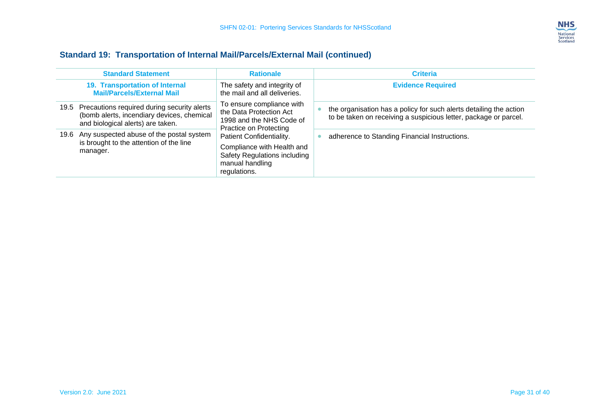

### **Standard 19: Transportation of Internal Mail/Parcels/External Mail (continued)**

| <b>Standard Statement</b>                                                                                                           | <b>Rationale</b>                                                                                                                                                                                                                        | <b>Criteria</b>                                                                                                                        |
|-------------------------------------------------------------------------------------------------------------------------------------|-----------------------------------------------------------------------------------------------------------------------------------------------------------------------------------------------------------------------------------------|----------------------------------------------------------------------------------------------------------------------------------------|
| 19. Transportation of Internal<br><b>Mail/Parcels/External Mail</b>                                                                 | The safety and integrity of<br>the mail and all deliveries.                                                                                                                                                                             | <b>Evidence Required</b>                                                                                                               |
| 19.5 Precautions required during security alerts<br>(bomb alerts, incendiary devices, chemical<br>and biological alerts) are taken. | To ensure compliance with<br>the Data Protection Act<br>1998 and the NHS Code of<br>Practice on Protecting<br>Patient Confidentiality.<br>Compliance with Health and<br>Safety Regulations including<br>manual handling<br>regulations. | the organisation has a policy for such alerts detailing the action<br>to be taken on receiving a suspicious letter, package or parcel. |
| 19.6 Any suspected abuse of the postal system<br>is brought to the attention of the line<br>manager.                                |                                                                                                                                                                                                                                         | adherence to Standing Financial Instructions.                                                                                          |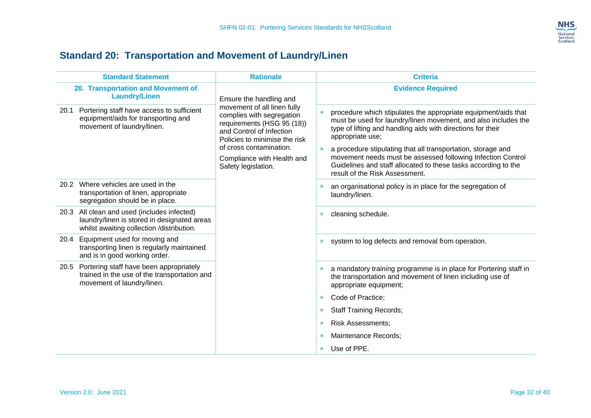

## **Standard 20: Transportation and Movement of Laundry/Linen**

<span id="page-33-0"></span>

| <b>Standard Statement</b>                                  | <b>Rationale</b>                                                                                                                                                                                                                                                                                                                                                                                                                                                                                                                                                                                                                                                                                                                                                                                                                                                             | <b>Criteria</b>                                                                                                                                                                                                                                                                                                                                                                                                                                        |
|------------------------------------------------------------|------------------------------------------------------------------------------------------------------------------------------------------------------------------------------------------------------------------------------------------------------------------------------------------------------------------------------------------------------------------------------------------------------------------------------------------------------------------------------------------------------------------------------------------------------------------------------------------------------------------------------------------------------------------------------------------------------------------------------------------------------------------------------------------------------------------------------------------------------------------------------|--------------------------------------------------------------------------------------------------------------------------------------------------------------------------------------------------------------------------------------------------------------------------------------------------------------------------------------------------------------------------------------------------------------------------------------------------------|
| 20. Transportation and Movement of<br><b>Laundry/Linen</b> | Ensure the handling and<br>movement of all linen fully<br>Portering staff have access to sufficient<br>complies with segregation<br>equipment/aids for transporting and<br>requirements (HSG 95 (18))<br>movement of laundry/linen.<br>and Control of Infection<br>Policies to minimise the risk<br>of cross contamination.<br>Compliance with Health and<br>Safety legislation.<br>Where vehicles are used in the<br>transportation of linen, appropriate<br>segregation should be in place.<br>All clean and used (includes infected)<br>laundry/linen is stored in designated areas<br>whilst awaiting collection /distribution.<br>Equipment used for moving and<br>transporting linen is regularly maintained<br>and is in good working order.<br>Portering staff have been appropriately<br>trained in the use of the transportation and<br>movement of laundry/linen. | <b>Evidence Required</b>                                                                                                                                                                                                                                                                                                                                                                                                                               |
| 20.1                                                       |                                                                                                                                                                                                                                                                                                                                                                                                                                                                                                                                                                                                                                                                                                                                                                                                                                                                              | procedure which stipulates the appropriate equipment/aids that<br>must be used for laundry/linen movement, and also includes the<br>type of lifting and handling aids with directions for their<br>appropriate use;<br>a procedure stipulating that all transportation, storage and<br>movement needs must be assessed following Infection Control<br>Guidelines and staff allocated to these tasks according to the<br>result of the Risk Assessment. |
| 20.2                                                       |                                                                                                                                                                                                                                                                                                                                                                                                                                                                                                                                                                                                                                                                                                                                                                                                                                                                              | an organisational policy is in place for the segregation of<br>laundry/linen.                                                                                                                                                                                                                                                                                                                                                                          |
| 20.3                                                       |                                                                                                                                                                                                                                                                                                                                                                                                                                                                                                                                                                                                                                                                                                                                                                                                                                                                              | cleaning schedule.<br>$\bullet$                                                                                                                                                                                                                                                                                                                                                                                                                        |
| 20.4                                                       |                                                                                                                                                                                                                                                                                                                                                                                                                                                                                                                                                                                                                                                                                                                                                                                                                                                                              | system to log defects and removal from operation.                                                                                                                                                                                                                                                                                                                                                                                                      |
| 20.5                                                       |                                                                                                                                                                                                                                                                                                                                                                                                                                                                                                                                                                                                                                                                                                                                                                                                                                                                              | a mandatory training programme is in place for Portering staff in<br>$\bullet$<br>the transportation and movement of linen including use of<br>appropriate equipment;                                                                                                                                                                                                                                                                                  |
|                                                            |                                                                                                                                                                                                                                                                                                                                                                                                                                                                                                                                                                                                                                                                                                                                                                                                                                                                              | Code of Practice;<br>$\bullet$                                                                                                                                                                                                                                                                                                                                                                                                                         |
|                                                            |                                                                                                                                                                                                                                                                                                                                                                                                                                                                                                                                                                                                                                                                                                                                                                                                                                                                              | <b>Staff Training Records;</b><br>$\bullet$                                                                                                                                                                                                                                                                                                                                                                                                            |
|                                                            | <b>Risk Assessments;</b><br>$\bullet$                                                                                                                                                                                                                                                                                                                                                                                                                                                                                                                                                                                                                                                                                                                                                                                                                                        |                                                                                                                                                                                                                                                                                                                                                                                                                                                        |
|                                                            |                                                                                                                                                                                                                                                                                                                                                                                                                                                                                                                                                                                                                                                                                                                                                                                                                                                                              | Maintenance Records;<br>$\bullet$                                                                                                                                                                                                                                                                                                                                                                                                                      |
|                                                            |                                                                                                                                                                                                                                                                                                                                                                                                                                                                                                                                                                                                                                                                                                                                                                                                                                                                              | Use of PPE.<br>$\bullet$                                                                                                                                                                                                                                                                                                                                                                                                                               |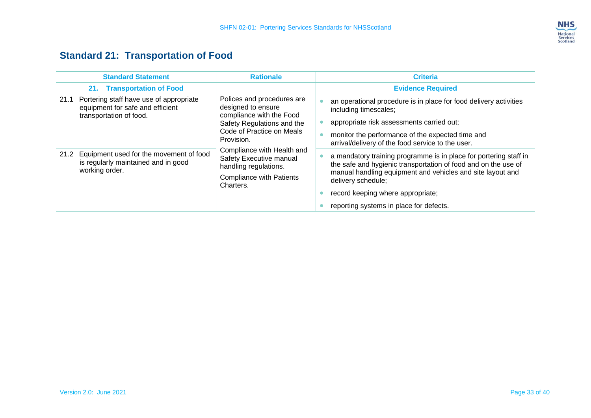

## **Standard 21: Transportation of Food**

<span id="page-34-0"></span>

| <b>Standard Statement</b>                                                                                      | <b>Rationale</b>                                                                                                                                                                                                                                                                        | <b>Criteria</b>                                                                                                                                                                                                                                                                                         |
|----------------------------------------------------------------------------------------------------------------|-----------------------------------------------------------------------------------------------------------------------------------------------------------------------------------------------------------------------------------------------------------------------------------------|---------------------------------------------------------------------------------------------------------------------------------------------------------------------------------------------------------------------------------------------------------------------------------------------------------|
| 21. Transportation of Food                                                                                     |                                                                                                                                                                                                                                                                                         | <b>Evidence Required</b>                                                                                                                                                                                                                                                                                |
| Portering staff have use of appropriate<br>21.1<br>equipment for safe and efficient<br>transportation of food. | Polices and procedures are<br>designed to ensure<br>compliance with the Food<br>Safety Regulations and the<br>Code of Practice on Meals<br>Provision.<br>Compliance with Health and<br>Safety Executive manual<br>handling regulations.<br><b>Compliance with Patients</b><br>Charters. | an operational procedure is in place for food delivery activities<br>including timescales;<br>appropriate risk assessments carried out;<br>monitor the performance of the expected time and<br>arrival/delivery of the food service to the user.                                                        |
| 21.2 Equipment used for the movement of food<br>is regularly maintained and in good<br>working order.          |                                                                                                                                                                                                                                                                                         | a mandatory training programme is in place for portering staff in<br>the safe and hygienic transportation of food and on the use of<br>manual handling equipment and vehicles and site layout and<br>delivery schedule;<br>record keeping where appropriate;<br>reporting systems in place for defects. |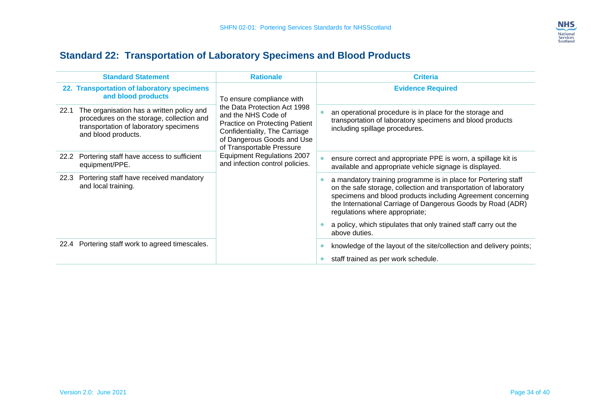

## **Standard 22: Transportation of Laboratory Specimens and Blood Products**

<span id="page-35-0"></span>

| <b>Standard Statement</b>                                                                                                                                       | <b>Rationale</b>                                                                                                                                                                                                                                                                              | <b>Criteria</b>                                                                                                                                                                                                                                                                                    |
|-----------------------------------------------------------------------------------------------------------------------------------------------------------------|-----------------------------------------------------------------------------------------------------------------------------------------------------------------------------------------------------------------------------------------------------------------------------------------------|----------------------------------------------------------------------------------------------------------------------------------------------------------------------------------------------------------------------------------------------------------------------------------------------------|
| 22. Transportation of laboratory specimens<br>and blood products                                                                                                | To ensure compliance with<br>the Data Protection Act 1998<br>and the NHS Code of<br><b>Practice on Protecting Patient</b><br>Confidentiality, The Carriage<br>of Dangerous Goods and Use<br>of Transportable Pressure<br><b>Equipment Regulations 2007</b><br>and infection control policies. | <b>Evidence Required</b>                                                                                                                                                                                                                                                                           |
| The organisation has a written policy and<br>22.1<br>procedures on the storage, collection and<br>transportation of laboratory specimens<br>and blood products. |                                                                                                                                                                                                                                                                                               | an operational procedure is in place for the storage and<br>transportation of laboratory specimens and blood products<br>including spillage procedures.                                                                                                                                            |
| Portering staff have access to sufficient<br>22.2<br>equipment/PPE.                                                                                             |                                                                                                                                                                                                                                                                                               | ensure correct and appropriate PPE is worn, a spillage kit is<br>available and appropriate vehicle signage is displayed.                                                                                                                                                                           |
| Portering staff have received mandatory<br>22.3<br>and local training.                                                                                          |                                                                                                                                                                                                                                                                                               | a mandatory training programme is in place for Portering staff<br>on the safe storage, collection and transportation of laboratory<br>specimens and blood products including Agreement concerning<br>the International Carriage of Dangerous Goods by Road (ADR)<br>regulations where appropriate; |
|                                                                                                                                                                 |                                                                                                                                                                                                                                                                                               | a policy, which stipulates that only trained staff carry out the<br>above duties.                                                                                                                                                                                                                  |
| 22.4 Portering staff work to agreed timescales.                                                                                                                 |                                                                                                                                                                                                                                                                                               | knowledge of the layout of the site/collection and delivery points;<br>staff trained as per work schedule.                                                                                                                                                                                         |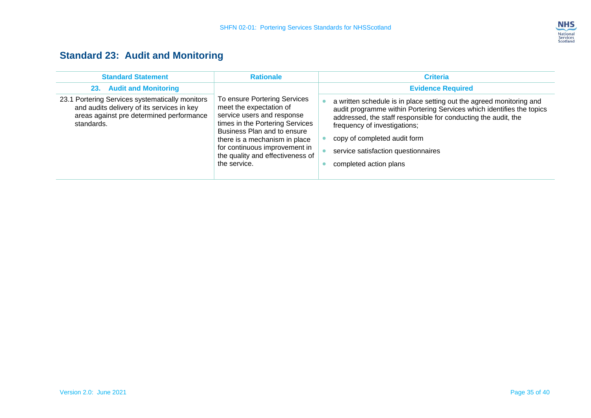

## **Standard 23: Audit and Monitoring**

<span id="page-36-0"></span>

| <b>Standard Statement</b>                                                                                                                               | <b>Rationale</b>                                                                                                                                                                                                                                                              | <b>Criteria</b>                                                                                                                                                                                                                                                                                                                                  |
|---------------------------------------------------------------------------------------------------------------------------------------------------------|-------------------------------------------------------------------------------------------------------------------------------------------------------------------------------------------------------------------------------------------------------------------------------|--------------------------------------------------------------------------------------------------------------------------------------------------------------------------------------------------------------------------------------------------------------------------------------------------------------------------------------------------|
| <b>Audit and Monitoring</b><br>23.                                                                                                                      |                                                                                                                                                                                                                                                                               | <b>Evidence Required</b>                                                                                                                                                                                                                                                                                                                         |
| 23.1 Portering Services systematically monitors<br>and audits delivery of its services in key<br>areas against pre determined performance<br>standards. | To ensure Portering Services<br>meet the expectation of<br>service users and response<br>times in the Portering Services<br>Business Plan and to ensure<br>there is a mechanism in place<br>for continuous improvement in<br>the quality and effectiveness of<br>the service. | a written schedule is in place setting out the agreed monitoring and<br>audit programme within Portering Services which identifies the topics<br>addressed, the staff responsible for conducting the audit, the<br>frequency of investigations;<br>copy of completed audit form<br>service satisfaction questionnaires<br>completed action plans |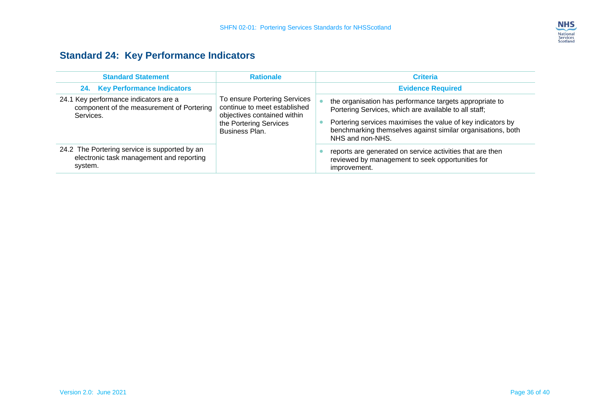

## **Standard 24: Key Performance Indicators**

<span id="page-37-0"></span>

| <b>Standard Statement</b>                                                                            | <b>Rationale</b>                                                                                                                        | <b>Criteria</b>                                                                                                                                                                                                                                                    |
|------------------------------------------------------------------------------------------------------|-----------------------------------------------------------------------------------------------------------------------------------------|--------------------------------------------------------------------------------------------------------------------------------------------------------------------------------------------------------------------------------------------------------------------|
| 24. Key Performance Indicators                                                                       |                                                                                                                                         | <b>Evidence Required</b>                                                                                                                                                                                                                                           |
| 24.1 Key performance indicators are a<br>component of the measurement of Portering<br>Services.      | To ensure Portering Services<br>continue to meet established<br>objectives contained within<br>the Portering Services<br>Business Plan. | the organisation has performance targets appropriate to<br>Portering Services, which are available to all staff;<br>Portering services maximises the value of key indicators by<br>benchmarking themselves against similar organisations, both<br>NHS and non-NHS. |
| 24.2 The Portering service is supported by an<br>electronic task management and reporting<br>system. |                                                                                                                                         | reports are generated on service activities that are then<br>reviewed by management to seek opportunities for<br>improvement.                                                                                                                                      |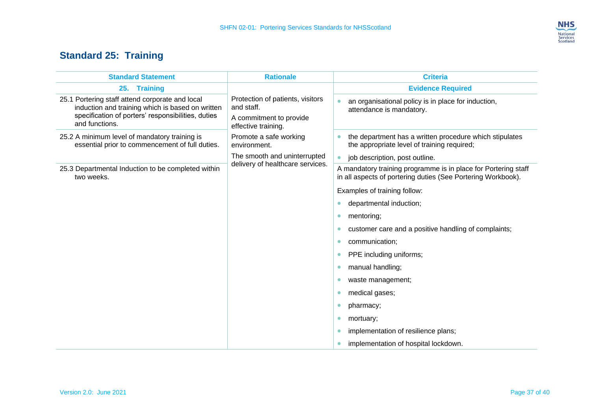

## **Standard 25: Training**

<span id="page-38-0"></span>

| <b>Standard Statement</b>                                                                                                                                                   | <b>Rationale</b>                                                                                 | <b>Criteria</b>                                                                                                                |
|-----------------------------------------------------------------------------------------------------------------------------------------------------------------------------|--------------------------------------------------------------------------------------------------|--------------------------------------------------------------------------------------------------------------------------------|
| 25. Training                                                                                                                                                                |                                                                                                  | <b>Evidence Required</b>                                                                                                       |
| 25.1 Portering staff attend corporate and local<br>induction and training which is based on written<br>specification of porters' responsibilities, duties<br>and functions. | Protection of patients, visitors<br>and staff.<br>A commitment to provide<br>effective training. | an organisational policy is in place for induction,<br>attendance is mandatory.                                                |
| 25.2 A minimum level of mandatory training is<br>essential prior to commencement of full duties.                                                                            | Promote a safe working<br>environment.                                                           | the department has a written procedure which stipulates<br>the appropriate level of training required;                         |
|                                                                                                                                                                             | The smooth and uninterrupted<br>delivery of healthcare services.                                 | job description, post outline.                                                                                                 |
| 25.3 Departmental Induction to be completed within<br>two weeks.                                                                                                            |                                                                                                  | A mandatory training programme is in place for Portering staff<br>in all aspects of portering duties (See Portering Workbook). |
|                                                                                                                                                                             |                                                                                                  | Examples of training follow:                                                                                                   |
|                                                                                                                                                                             |                                                                                                  | departmental induction;                                                                                                        |
|                                                                                                                                                                             |                                                                                                  | mentoring;<br>$\bullet$                                                                                                        |
|                                                                                                                                                                             |                                                                                                  | customer care and a positive handling of complaints;<br>$\bullet$                                                              |
|                                                                                                                                                                             |                                                                                                  | communication;<br>0                                                                                                            |
|                                                                                                                                                                             |                                                                                                  | PPE including uniforms;                                                                                                        |
|                                                                                                                                                                             |                                                                                                  | manual handling;                                                                                                               |
|                                                                                                                                                                             |                                                                                                  | waste management;<br>0                                                                                                         |
|                                                                                                                                                                             |                                                                                                  | medical gases;                                                                                                                 |
|                                                                                                                                                                             |                                                                                                  | pharmacy;                                                                                                                      |
|                                                                                                                                                                             |                                                                                                  | mortuary;<br>$\bullet$                                                                                                         |
|                                                                                                                                                                             |                                                                                                  | implementation of resilience plans;                                                                                            |
|                                                                                                                                                                             |                                                                                                  | implementation of hospital lockdown.                                                                                           |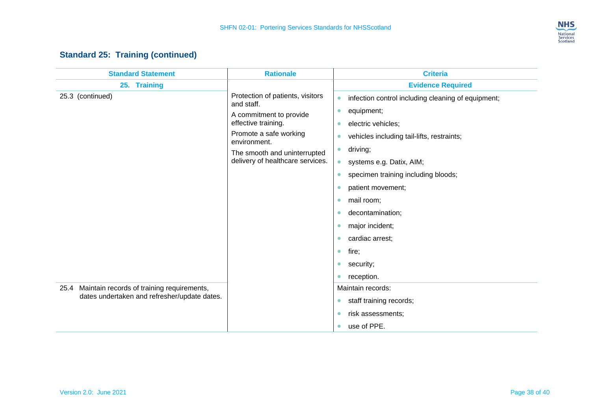

#### **Standard 25: Training (continued)**

| <b>Standard Statement</b>                                                                       | <b>Rationale</b>                                                                                 | <b>Criteria</b>                                                 |
|-------------------------------------------------------------------------------------------------|--------------------------------------------------------------------------------------------------|-----------------------------------------------------------------|
| 25. Training                                                                                    |                                                                                                  | <b>Evidence Required</b>                                        |
| 25.3 (continued)                                                                                | Protection of patients, visitors<br>and staff.<br>A commitment to provide<br>effective training. | infection control including cleaning of equipment;<br>$\bullet$ |
|                                                                                                 |                                                                                                  | equipment;<br>$\bullet$                                         |
|                                                                                                 |                                                                                                  | electric vehicles;<br>$\bullet$                                 |
|                                                                                                 | Promote a safe working<br>environment.                                                           | vehicles including tail-lifts, restraints;<br>$\bullet$         |
|                                                                                                 | The smooth and uninterrupted<br>delivery of healthcare services.                                 | driving;<br>$\bullet$                                           |
|                                                                                                 |                                                                                                  | systems e.g. Datix, AIM;<br>$\bullet$                           |
|                                                                                                 |                                                                                                  | specimen training including bloods;<br>$\bullet$                |
|                                                                                                 |                                                                                                  | patient movement;<br>$\bullet$                                  |
|                                                                                                 |                                                                                                  | mail room;<br>$\bullet$                                         |
|                                                                                                 |                                                                                                  | decontamination;<br>$\bullet$                                   |
|                                                                                                 |                                                                                                  | major incident;<br>$\bullet$                                    |
|                                                                                                 |                                                                                                  | cardiac arrest;<br>$\bullet$                                    |
|                                                                                                 |                                                                                                  | fire;<br>$\bullet$                                              |
|                                                                                                 |                                                                                                  | security;<br>$\bullet$                                          |
|                                                                                                 |                                                                                                  | reception.<br>$\bullet$                                         |
| 25.4 Maintain records of training requirements,<br>dates undertaken and refresher/update dates. |                                                                                                  | Maintain records:                                               |
|                                                                                                 |                                                                                                  | staff training records;<br>$\bullet$                            |
|                                                                                                 |                                                                                                  | risk assessments;<br>$\bullet$                                  |
|                                                                                                 |                                                                                                  | use of PPE.<br>$\bullet$                                        |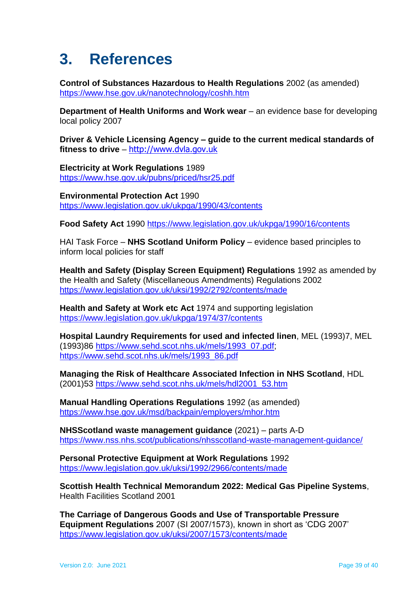## <span id="page-40-0"></span>**3. References**

**Control of Substances Hazardous to Health Regulations** 2002 (as amended) <https://www.hse.gov.uk/nanotechnology/coshh.htm>

**Department of Health Uniforms and Work wear** – an evidence base for developing local policy 2007

**Driver & Vehicle Licensing Agency – guide to the current medical standards of fitness to drive** – [http://www.dvla.gov.uk](http://www.dvla.gov.uk/)

**Electricity at Work Regulations** 1989 <https://www.hse.gov.uk/pubns/priced/hsr25.pdf>

**Environmental Protection Act** 1990 <https://www.legislation.gov.uk/ukpga/1990/43/contents>

**Food Safety Act** 1990<https://www.legislation.gov.uk/ukpga/1990/16/contents>

HAI Task Force – **NHS Scotland Uniform Policy** – evidence based principles to inform local policies for staff

**Health and Safety (Display Screen Equipment) Regulations** 1992 as amended by the Health and Safety (Miscellaneous Amendments) Regulations 2002 <https://www.legislation.gov.uk/uksi/1992/2792/contents/made>

**Health and Safety at Work etc Act** 1974 and supporting legislation <https://www.legislation.gov.uk/ukpga/1974/37/contents>

**Hospital Laundry Requirements for used and infected linen**, MEL (1993)7, MEL (1993)86 [https://www.sehd.scot.nhs.uk/mels/1993\\_07.pdf;](https://www.sehd.scot.nhs.uk/mels/1993_07.pdf) [https://www.sehd.scot.nhs.uk/mels/1993\\_86.pdf](https://www.sehd.scot.nhs.uk/mels/1993_86.pdf)

**Managing the Risk of Healthcare Associated Infection in NHS Scotland**, HDL (2001)53 [https://www.sehd.scot.nhs.uk/mels/hdl2001\\_53.htm](https://www.sehd.scot.nhs.uk/mels/hdl2001_53.htm)

**Manual Handling Operations Regulations** 1992 (as amended) <https://www.hse.gov.uk/msd/backpain/employers/mhor.htm>

**NHSScotland waste management guidance** (2021) – parts A-D <https://www.nss.nhs.scot/publications/nhsscotland-waste-management-guidance/>

**Personal Protective Equipment at Work Regulations** 1992 <https://www.legislation.gov.uk/uksi/1992/2966/contents/made>

**Scottish Health Technical Memorandum 2022: Medical Gas Pipeline Systems**, Health Facilities Scotland 2001

**The Carriage of Dangerous Goods and Use of Transportable Pressure Equipment Regulations** 2007 (SI 2007/1573), known in short as 'CDG 2007' <https://www.legislation.gov.uk/uksi/2007/1573/contents/made>